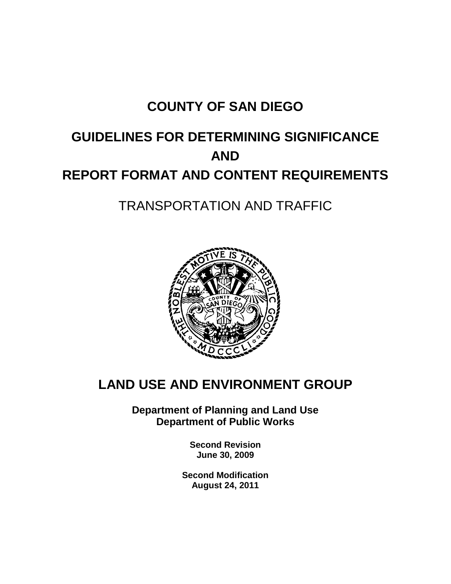# **COUNTY OF SAN DIEGO**

# **GUIDELINES FOR DETERMINING SIGNIFICANCE AND REPORT FORMAT AND CONTENT REQUIREMENTS**

# TRANSPORTATION AND TRAFFIC



# **LAND USE AND ENVIRONMENT GROUP**

**Department of Planning and Land Use Department of Public Works**

> **Second Revision June 30, 2009**

**Second Modification August 24, 2011**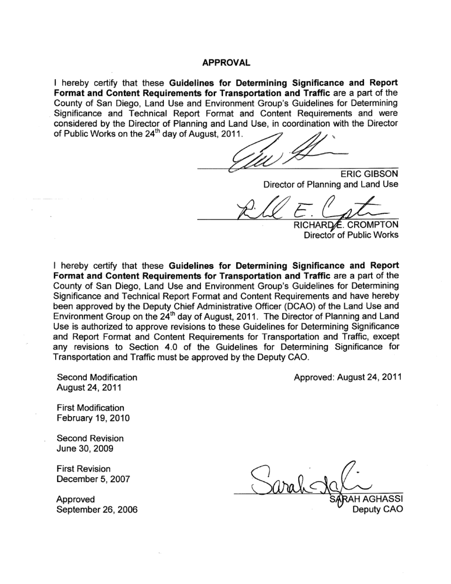#### **APPROVAL**

I hereby certify that these **Guidelines for Determining Significance and Report Format and Content Requirements for Transportation and Traffic** are a part of the County of San Diego, Land Use and Environment Group's Guidelines for Determining Significance and Technical Report Format and Content Requirements and were considered by the Director of Planning and Land Use, in coordination with the Director considered by the Director of Planning and Lan

 $\mathcal{L}$ 

ERIC GIBSON Director of Planning and Land Use

 $\mathbb{Z}^n$  for  $\mathbb{Z}^n$  for  $\mathbb{Z}^n$ 

RICHARD∕ E. CROMPTON Director of Public Works

I hereby certify that these **Guidelines for Determining Significance and Report Format and Content Requirements for Transportation and Traffic** are a part of the County of San Diego, Land Use and Environment Group's Guidelines for Determining Significance and Technical Report Format and Content Requirements and have hereby been approved by the Deputy Chief Administrative Officer (DCAO) of the Land Use and been approved by the Deputy Chief Administrative Ontder (DOAO) of the Early Ose and<br>Environment Group on the 24<sup>th</sup> day of August, 2011. The Director of Planning and Land Use is authorized to approve revisions to these Guidelines for Determining Significance and Report Format and Content Requirements for Transportation and Traffic, except any revisions to Section 4.0 of the Guidelines for Determining Significance for Transportation and Traffic must be approved by the Deputy CAO.

Second Modification August 24, 2011

Approved: August 24, 2011

First Modification February 19, 2010

Second Revision June 30, 2009

First Revision December 5, 2007

 $\ln a \, \Omega <$ Approved SARAH AGHASS Approved SARAH AGHASSI<br>September 26, 2006 Deputy CAO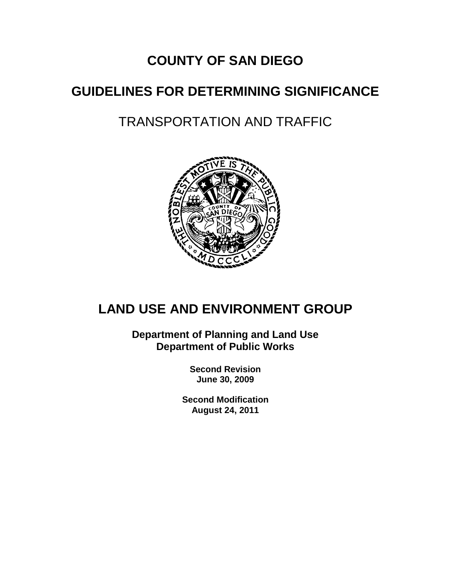# **COUNTY OF SAN DIEGO**

# **GUIDELINES FOR DETERMINING SIGNIFICANCE**

# TRANSPORTATION AND TRAFFIC



# **LAND USE AND ENVIRONMENT GROUP**

**Department of Planning and Land Use Department of Public Works**

> **Second Revision June 30, 2009**

**Second Modification August 24, 2011**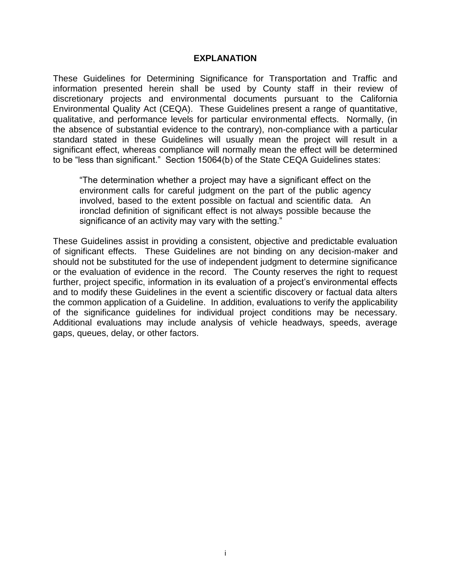#### **EXPLANATION**

These Guidelines for Determining Significance for Transportation and Traffic and information presented herein shall be used by County staff in their review of discretionary projects and environmental documents pursuant to the California Environmental Quality Act (CEQA). These Guidelines present a range of quantitative, qualitative, and performance levels for particular environmental effects. Normally, (in the absence of substantial evidence to the contrary), non-compliance with a particular standard stated in these Guidelines will usually mean the project will result in a significant effect, whereas compliance will normally mean the effect will be determined to be "less than significant." Section 15064(b) of the State CEQA Guidelines states:

"The determination whether a project may have a significant effect on the environment calls for careful judgment on the part of the public agency involved, based to the extent possible on factual and scientific data. An ironclad definition of significant effect is not always possible because the significance of an activity may vary with the setting."

These Guidelines assist in providing a consistent, objective and predictable evaluation of significant effects. These Guidelines are not binding on any decision-maker and should not be substituted for the use of independent judgment to determine significance or the evaluation of evidence in the record. The County reserves the right to request further, project specific, information in its evaluation of a project's environmental effects and to modify these Guidelines in the event a scientific discovery or factual data alters the common application of a Guideline. In addition, evaluations to verify the applicability of the significance guidelines for individual project conditions may be necessary. Additional evaluations may include analysis of vehicle headways, speeds, average gaps, queues, delay, or other factors.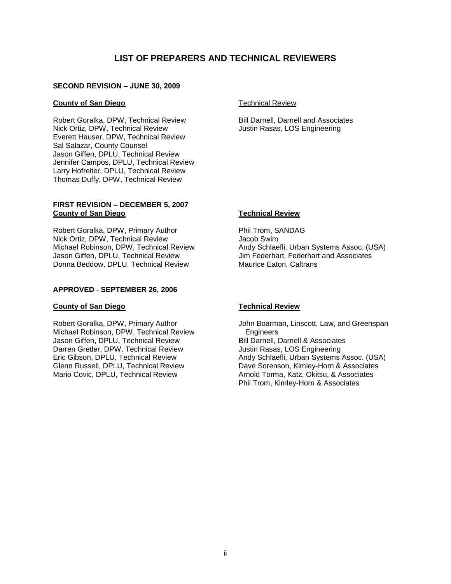#### **LIST OF PREPARERS AND TECHNICAL REVIEWERS**

#### **SECOND REVISION – JUNE 30, 2009**

#### **County of San Diego**

Robert Goralka, DPW, Technical Review Nick Ortiz, DPW, Technical Review Everett Hauser, DPW, Technical Review Sal Salazar, County Counsel Jason Giffen, DPLU, Technical Review Jennifer Campos, DPLU, Technical Review Larry Hofreiter, DPLU, Technical Review Thomas Duffy, DPW, Technical Review

#### **FIRST REVISION – DECEMBER 5, 2007 County of San Diego**

Robert Goralka, DPW, Primary Author Nick Ortiz, DPW, Technical Review Michael Robinson, DPW, Technical Review Jason Giffen, DPLU, Technical Review Donna Beddow, DPLU, Technical Review

#### **APPROVED - SEPTEMBER 26, 2006**

#### **County of San Diego**

Robert Goralka, DPW, Primary Author Michael Robinson, DPW, Technical Review Jason Giffen, DPLU, Technical Review Darren Gretler, DPW, Technical Review Eric Gibson, DPLU, Technical Review Glenn Russell, DPLU, Technical Review Mario Covic, DPLU, Technical Review

Technical Review

Bill Darnell, Darnell and Associates Justin Rasas, LOS Engineering

#### **Technical Review**

Phil Trom, SANDAG Jacob Swim Andy Schlaefli, Urban Systems Assoc. (USA) Jim Federhart, Federhart and Associates Maurice Eaton, Caltrans

#### **Technical Review**

John Boarman, Linscott, Law, and Greenspan **Engineers** Bill Darnell, Darnell & Associates Justin Rasas, LOS Engineering Andy Schlaefli, Urban Systems Assoc. (USA) Dave Sorenson, Kimley-Horn & Associates Arnold Torma, Katz, Okitsu, & Associates Phil Trom, Kimley-Horn & Associates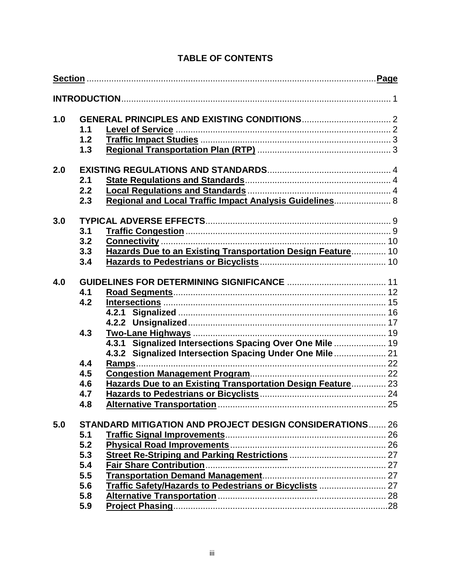| 1.0 |     |                                                                 |  |  |  |  |  |
|-----|-----|-----------------------------------------------------------------|--|--|--|--|--|
|     | 1.1 |                                                                 |  |  |  |  |  |
|     | 1.2 |                                                                 |  |  |  |  |  |
|     | 1.3 |                                                                 |  |  |  |  |  |
| 2.0 |     |                                                                 |  |  |  |  |  |
|     | 2.1 |                                                                 |  |  |  |  |  |
|     | 2.2 |                                                                 |  |  |  |  |  |
|     | 2.3 | Regional and Local Traffic Impact Analysis Guidelines 8         |  |  |  |  |  |
| 3.0 |     |                                                                 |  |  |  |  |  |
|     | 3.1 |                                                                 |  |  |  |  |  |
|     | 3.2 |                                                                 |  |  |  |  |  |
|     | 3.3 | Hazards Due to an Existing Transportation Design Feature 10     |  |  |  |  |  |
|     | 3.4 |                                                                 |  |  |  |  |  |
| 4.0 |     |                                                                 |  |  |  |  |  |
|     | 4.1 |                                                                 |  |  |  |  |  |
|     | 4.2 |                                                                 |  |  |  |  |  |
|     |     |                                                                 |  |  |  |  |  |
|     |     |                                                                 |  |  |  |  |  |
|     | 4.3 |                                                                 |  |  |  |  |  |
|     |     | 4.3.1 Signalized Intersections Spacing Over One Mile  19        |  |  |  |  |  |
|     |     | 4.3.2 Signalized Intersection Spacing Under One Mile  21        |  |  |  |  |  |
|     | 4.4 |                                                                 |  |  |  |  |  |
|     | 4.5 |                                                                 |  |  |  |  |  |
|     | 4.6 | Hazards Due to an Existing Transportation Design Feature 23     |  |  |  |  |  |
|     | 4.7 |                                                                 |  |  |  |  |  |
|     | 4.8 |                                                                 |  |  |  |  |  |
| 5.0 |     | <b>STANDARD MITIGATION AND PROJECT DESIGN CONSIDERATIONS 26</b> |  |  |  |  |  |
|     | 5.1 |                                                                 |  |  |  |  |  |
|     | 5.2 |                                                                 |  |  |  |  |  |
|     | 5.3 |                                                                 |  |  |  |  |  |
|     | 5.4 |                                                                 |  |  |  |  |  |
|     | 5.5 |                                                                 |  |  |  |  |  |
|     | 5.6 | Traffic Safety/Hazards to Pedestrians or Bicyclists  27         |  |  |  |  |  |
|     | 5.8 |                                                                 |  |  |  |  |  |
|     | 5.9 |                                                                 |  |  |  |  |  |

# **TABLE OF CONTENTS**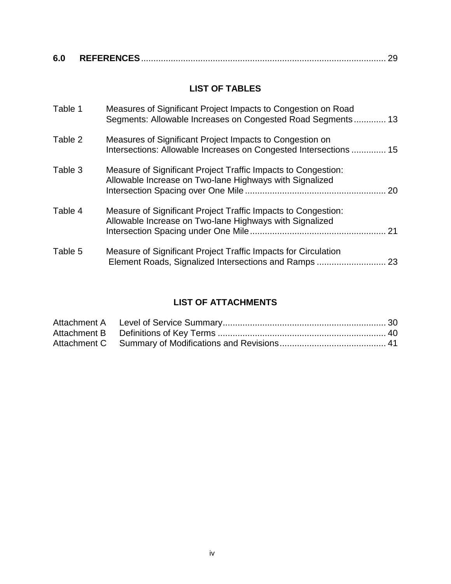| 6.0 |  |
|-----|--|
|     |  |

# **LIST OF TABLES**

| Table 1 | Measures of Significant Project Impacts to Congestion on Road<br>Segments: Allowable Increases on Congested Road Segments 13  |    |
|---------|-------------------------------------------------------------------------------------------------------------------------------|----|
| Table 2 | Measures of Significant Project Impacts to Congestion on<br>Intersections: Allowable Increases on Congested Intersections  15 |    |
| Table 3 | Measure of Significant Project Traffic Impacts to Congestion:<br>Allowable Increase on Two-lane Highways with Signalized      | 20 |
| Table 4 | Measure of Significant Project Traffic Impacts to Congestion:<br>Allowable Increase on Two-lane Highways with Signalized      | 21 |
| Table 5 | Measure of Significant Project Traffic Impacts for Circulation<br>Element Roads, Signalized Intersections and Ramps           | 23 |

# **LIST OF ATTACHMENTS**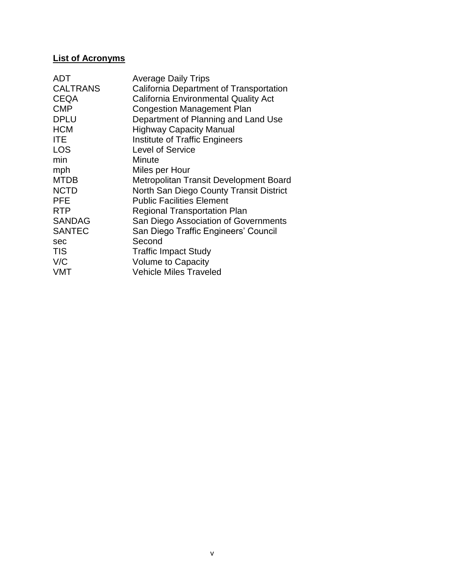## **List of Acronyms**

| <b>ADT</b>      | <b>Average Daily Trips</b>                  |
|-----------------|---------------------------------------------|
| <b>CALTRANS</b> | California Department of Transportation     |
| <b>CEQA</b>     | <b>California Environmental Quality Act</b> |
| <b>CMP</b>      | <b>Congestion Management Plan</b>           |
| <b>DPLU</b>     | Department of Planning and Land Use         |
| <b>HCM</b>      | <b>Highway Capacity Manual</b>              |
| <b>ITE</b>      | <b>Institute of Traffic Engineers</b>       |
| <b>LOS</b>      | Level of Service                            |
| min             | Minute                                      |
| mph             | Miles per Hour                              |
| <b>MTDB</b>     | Metropolitan Transit Development Board      |
| <b>NCTD</b>     | North San Diego County Transit District     |
| <b>PFE</b>      | <b>Public Facilities Element</b>            |
| <b>RTP</b>      | <b>Regional Transportation Plan</b>         |
| <b>SANDAG</b>   | San Diego Association of Governments        |
| <b>SANTEC</b>   | San Diego Traffic Engineers' Council        |
| sec             | Second                                      |
| <b>TIS</b>      | <b>Traffic Impact Study</b>                 |
| V/C             | <b>Volume to Capacity</b>                   |
| <b>VMT</b>      | <b>Vehicle Miles Traveled</b>               |
|                 |                                             |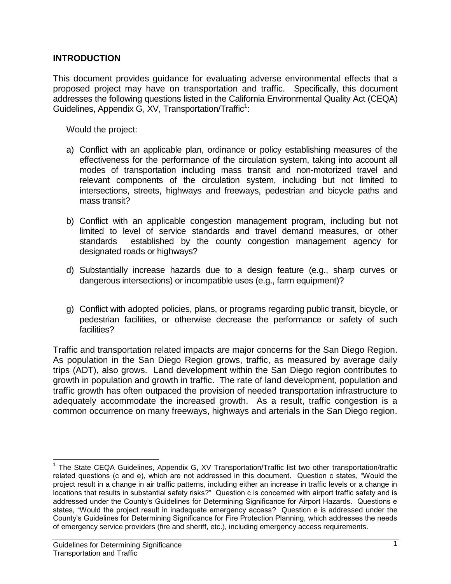#### **INTRODUCTION**

This document provides guidance for evaluating adverse environmental effects that a proposed project may have on transportation and traffic. Specifically, this document addresses the following questions listed in the California Environmental Quality Act (CEQA) Guidelines, Appendix G, XV, Transportation/Traffic<sup>1</sup>:

Would the project:

- a) Conflict with an applicable plan, ordinance or policy establishing measures of the effectiveness for the performance of the circulation system, taking into account all modes of transportation including mass transit and non-motorized travel and relevant components of the circulation system, including but not limited to intersections, streets, highways and freeways, pedestrian and bicycle paths and mass transit?
- b) Conflict with an applicable congestion management program, including but not limited to level of service standards and travel demand measures, or other standards established by the county congestion management agency for designated roads or highways?
- d) Substantially increase hazards due to a design feature (e.g., sharp curves or dangerous intersections) or incompatible uses (e.g., farm equipment)?
- g) Conflict with adopted policies, plans, or programs regarding public transit, bicycle, or pedestrian facilities, or otherwise decrease the performance or safety of such facilities?

Traffic and transportation related impacts are major concerns for the San Diego Region. As population in the San Diego Region grows, traffic, as measured by average daily trips (ADT), also grows. Land development within the San Diego region contributes to growth in population and growth in traffic. The rate of land development, population and traffic growth has often outpaced the provision of needed transportation infrastructure to adequately accommodate the increased growth. As a result, traffic congestion is a common occurrence on many freeways, highways and arterials in the San Diego region.

 $\overline{a}$ 

<sup>&</sup>lt;sup>1</sup> The State CEQA Guidelines, Appendix G, XV Transportation/Traffic list two other transportation/traffic related questions (c and e), which are not addressed in this document. Question c states, "Would the project result in a change in air traffic patterns, including either an increase in traffic levels or a change in locations that results in substantial safety risks?" Question c is concerned with airport traffic safety and is addressed under the County's Guidelines for Determining Significance for Airport Hazards. Questions e states, "Would the project result in inadequate emergency access? Question e is addressed under the County's Guidelines for Determining Significance for Fire Protection Planning, which addresses the needs of emergency service providers (fire and sheriff, etc.), including emergency access requirements.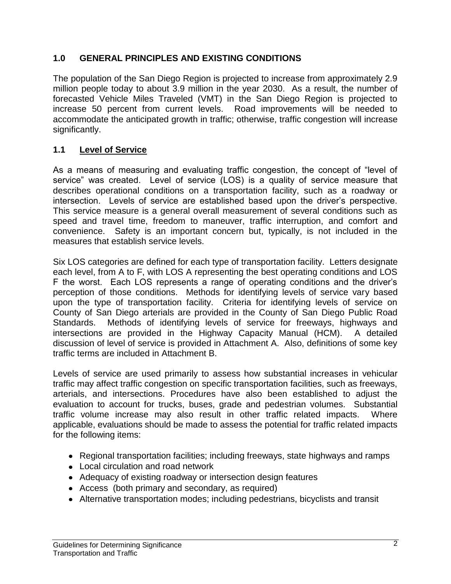## **1.0 GENERAL PRINCIPLES AND EXISTING CONDITIONS**

The population of the San Diego Region is projected to increase from approximately 2.9 million people today to about 3.9 million in the year 2030. As a result, the number of forecasted Vehicle Miles Traveled (VMT) in the San Diego Region is projected to increase 50 percent from current levels. Road improvements will be needed to accommodate the anticipated growth in traffic; otherwise, traffic congestion will increase significantly.

# **1.1 Level of Service**

As a means of measuring and evaluating traffic congestion, the concept of "level of service" was created. Level of service (LOS) is a quality of service measure that describes operational conditions on a transportation facility, such as a roadway or intersection. Levels of service are established based upon the driver's perspective. This service measure is a general overall measurement of several conditions such as speed and travel time, freedom to maneuver, traffic interruption, and comfort and convenience. Safety is an important concern but, typically, is not included in the measures that establish service levels.

Six LOS categories are defined for each type of transportation facility. Letters designate each level, from A to F, with LOS A representing the best operating conditions and LOS F the worst. Each LOS represents a range of operating conditions and the driver's perception of those conditions. Methods for identifying levels of service vary based upon the type of transportation facility. Criteria for identifying levels of service on County of San Diego arterials are provided in the County of San Diego Public Road Standards. Methods of identifying levels of service for freeways, highways and intersections are provided in the Highway Capacity Manual (HCM). A detailed discussion of level of service is provided in Attachment A. Also, definitions of some key traffic terms are included in Attachment B.

Levels of service are used primarily to assess how substantial increases in vehicular traffic may affect traffic congestion on specific transportation facilities, such as freeways, arterials, and intersections. Procedures have also been established to adjust the evaluation to account for trucks, buses, grade and pedestrian volumes. Substantial traffic volume increase may also result in other traffic related impacts. Where applicable, evaluations should be made to assess the potential for traffic related impacts for the following items:

- Regional transportation facilities; including freeways, state highways and ramps
- Local circulation and road network
- Adequacy of existing roadway or intersection design features
- Access (both primary and secondary, as required)
- Alternative transportation modes; including pedestrians, bicyclists and transit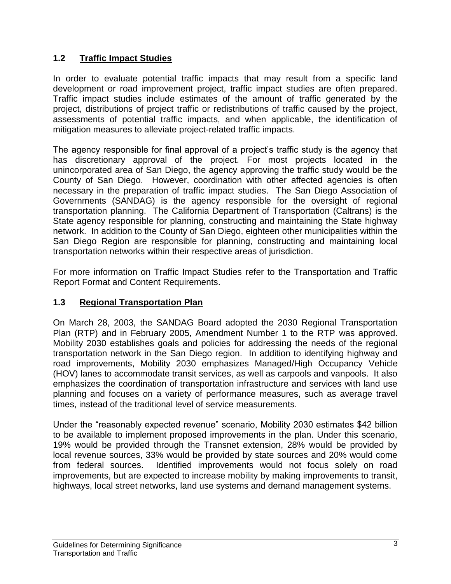# **1.2 Traffic Impact Studies**

In order to evaluate potential traffic impacts that may result from a specific land development or road improvement project, traffic impact studies are often prepared. Traffic impact studies include estimates of the amount of traffic generated by the project, distributions of project traffic or redistributions of traffic caused by the project, assessments of potential traffic impacts, and when applicable, the identification of mitigation measures to alleviate project-related traffic impacts.

The agency responsible for final approval of a project's traffic study is the agency that has discretionary approval of the project. For most projects located in the unincorporated area of San Diego, the agency approving the traffic study would be the County of San Diego. However, coordination with other affected agencies is often necessary in the preparation of traffic impact studies. The San Diego Association of Governments (SANDAG) is the agency responsible for the oversight of regional transportation planning. The California Department of Transportation (Caltrans) is the State agency responsible for planning, constructing and maintaining the State highway network. In addition to the County of San Diego, eighteen other municipalities within the San Diego Region are responsible for planning, constructing and maintaining local transportation networks within their respective areas of jurisdiction.

For more information on Traffic Impact Studies refer to the Transportation and Traffic Report Format and Content Requirements.

# **1.3 Regional Transportation Plan**

On March 28, 2003, the SANDAG Board adopted the 2030 Regional Transportation Plan (RTP) and in February 2005, Amendment Number 1 to the RTP was approved. Mobility 2030 establishes goals and policies for addressing the needs of the regional transportation network in the San Diego region. In addition to identifying highway and road improvements, Mobility 2030 emphasizes Managed/High Occupancy Vehicle (HOV) lanes to accommodate transit services, as well as carpools and vanpools. It also emphasizes the coordination of transportation infrastructure and services with land use planning and focuses on a variety of performance measures, such as average travel times, instead of the traditional level of service measurements.

Under the "reasonably expected revenue" scenario, Mobility 2030 estimates \$42 billion to be available to implement proposed improvements in the plan. Under this scenario, 19% would be provided through the Transnet extension, 28% would be provided by local revenue sources, 33% would be provided by state sources and 20% would come from federal sources. Identified improvements would not focus solely on road improvements, but are expected to increase mobility by making improvements to transit, highways, local street networks, land use systems and demand management systems.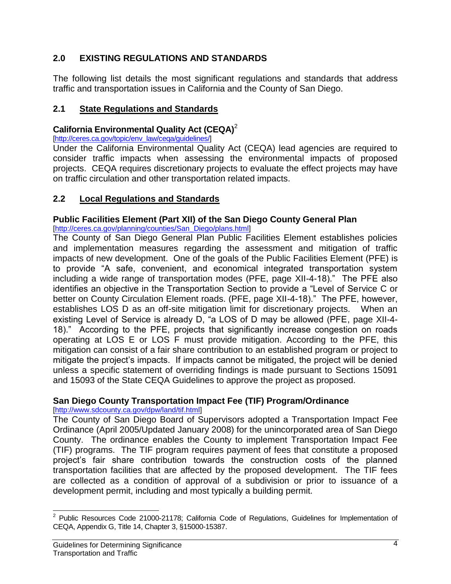# **2.0 EXISTING REGULATIONS AND STANDARDS**

The following list details the most significant regulations and standards that address traffic and transportation issues in California and the County of San Diego.

#### **2.1 State Regulations and Standards**

#### **California Environmental Quality Act (CEQA)**<sup>2</sup>

[\[http://ceres.ca.gov/topic/env\\_law/ceqa/guidelines/\]](http://ceres.ca.gov/topic/env_law/ceqa/guidelines/)

Under the California Environmental Quality Act (CEQA) lead agencies are required to consider traffic impacts when assessing the environmental impacts of proposed projects. CEQA requires discretionary projects to evaluate the effect projects may have on traffic circulation and other transportation related impacts.

## **2.2 Local Regulations and Standards**

## **Public Facilities Element (Part XII) of the San Diego County General Plan**

[http://ceres.ca.gov/planning/counties/San\_Diego/plans.html]

The County of San Diego General Plan Public Facilities Element establishes policies and implementation measures regarding the assessment and mitigation of traffic impacts of new development. One of the goals of the Public Facilities Element (PFE) is to provide "A safe, convenient, and economical integrated transportation system including a wide range of transportation modes (PFE, page XII-4-18)." The PFE also identifies an objective in the Transportation Section to provide a "Level of Service C or better on County Circulation Element roads. (PFE, page XII-4-18)." The PFE, however, establishes LOS D as an off-site mitigation limit for discretionary projects. When an existing Level of Service is already D, "a LOS of D may be allowed (PFE, page XII-4- 18)." According to the PFE, projects that significantly increase congestion on roads operating at LOS E or LOS F must provide mitigation. According to the PFE, this mitigation can consist of a fair share contribution to an established program or project to mitigate the project's impacts. If impacts cannot be mitigated, the project will be denied unless a specific statement of overriding findings is made pursuant to Sections 15091 and 15093 of the State CEQA Guidelines to approve the project as proposed.

# **San Diego County Transportation Impact Fee (TIF) Program/Ordinance**

[\[http://www.sdcounty.ca.gov/dpw/land/tif.html\]](http://www.sdcounty.ca.gov/dpw/land/tif.html)

The County of San Diego Board of Supervisors adopted a Transportation Impact Fee Ordinance (April 2005/Updated January 2008) for the unincorporated area of San Diego County. The ordinance enables the County to implement Transportation Impact Fee (TIF) programs. The TIF program requires payment of fees that constitute a proposed project's fair share contribution towards the construction costs of the planned transportation facilities that are affected by the proposed development. The TIF fees are collected as a condition of approval of a subdivision or prior to issuance of a development permit, including and most typically a building permit.

 2 Public Resources Code 21000-21178; California Code of Regulations, Guidelines for Implementation of CEQA, Appendix G, Title 14, Chapter 3, §15000-15387.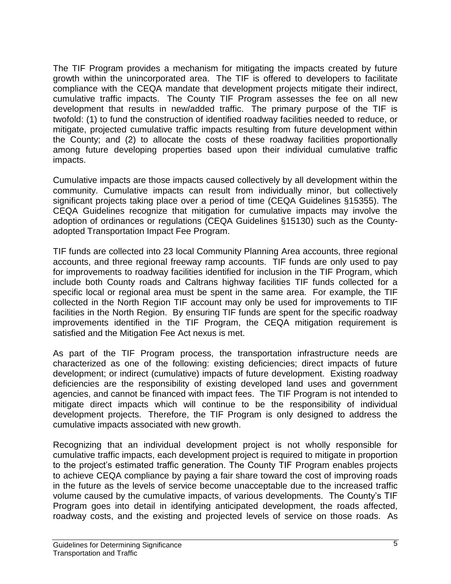The TIF Program provides a mechanism for mitigating the impacts created by future growth within the unincorporated area. The TIF is offered to developers to facilitate compliance with the CEQA mandate that development projects mitigate their indirect, cumulative traffic impacts. The County TIF Program assesses the fee on all new development that results in new/added traffic. The primary purpose of the TIF is twofold: (1) to fund the construction of identified roadway facilities needed to reduce, or mitigate, projected cumulative traffic impacts resulting from future development within the County; and (2) to allocate the costs of these roadway facilities proportionally among future developing properties based upon their individual cumulative traffic impacts.

Cumulative impacts are those impacts caused collectively by all development within the community. Cumulative impacts can result from individually minor, but collectively significant projects taking place over a period of time (CEQA Guidelines §15355). The CEQA Guidelines recognize that mitigation for cumulative impacts may involve the adoption of ordinances or regulations (CEQA Guidelines §15130) such as the Countyadopted Transportation Impact Fee Program.

TIF funds are collected into 23 local Community Planning Area accounts, three regional accounts, and three regional freeway ramp accounts. TIF funds are only used to pay for improvements to roadway facilities identified for inclusion in the TIF Program, which include both County roads and Caltrans highway facilities TIF funds collected for a specific local or regional area must be spent in the same area. For example, the TIF collected in the North Region TIF account may only be used for improvements to TIF facilities in the North Region. By ensuring TIF funds are spent for the specific roadway improvements identified in the TIF Program, the CEQA mitigation requirement is satisfied and the Mitigation Fee Act nexus is met.

As part of the TIF Program process, the transportation infrastructure needs are characterized as one of the following: existing deficiencies; direct impacts of future development; or indirect (cumulative) impacts of future development. Existing roadway deficiencies are the responsibility of existing developed land uses and government agencies, and cannot be financed with impact fees. The TIF Program is not intended to mitigate direct impacts which will continue to be the responsibility of individual development projects. Therefore, the TIF Program is only designed to address the cumulative impacts associated with new growth.

Recognizing that an individual development project is not wholly responsible for cumulative traffic impacts, each development project is required to mitigate in proportion to the project's estimated traffic generation. The County TIF Program enables projects to achieve CEQA compliance by paying a fair share toward the cost of improving roads in the future as the levels of service become unacceptable due to the increased traffic volume caused by the cumulative impacts, of various developments. The County's TIF Program goes into detail in identifying anticipated development, the roads affected, roadway costs, and the existing and projected levels of service on those roads. As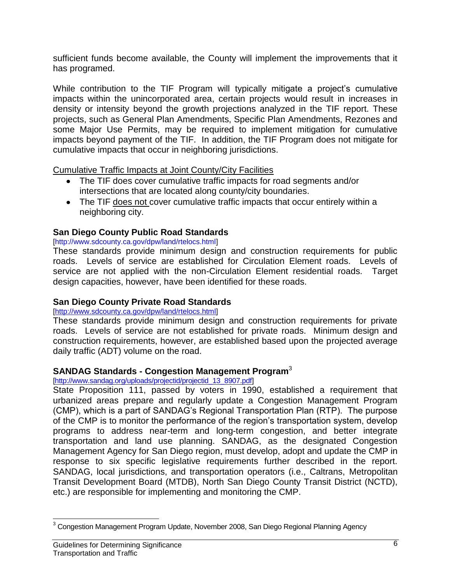sufficient funds become available, the County will implement the improvements that it has programed.

While contribution to the TIF Program will typically mitigate a project's cumulative impacts within the unincorporated area, certain projects would result in increases in density or intensity beyond the growth projections analyzed in the TIF report. These projects, such as General Plan Amendments, Specific Plan Amendments, Rezones and some Major Use Permits, may be required to implement mitigation for cumulative impacts beyond payment of the TIF. In addition, the TIF Program does not mitigate for cumulative impacts that occur in neighboring jurisdictions.

Cumulative Traffic Impacts at Joint County/City Facilities

- The TIF does cover cumulative traffic impacts for road segments and/or intersections that are located along county/city boundaries.
- The TIF does not cover cumulative traffic impacts that occur entirely within a neighboring city.

## **San Diego County Public Road Standards**

#### [http://www.sdcounty.ca.gov/dpw/land/rtelocs.html]

These standards provide minimum design and construction requirements for public roads. Levels of service are established for Circulation Element roads. Levels of service are not applied with the non-Circulation Element residential roads. Target design capacities, however, have been identified for these roads.

## **San Diego County Private Road Standards**

#### [\[http://www.sdcounty.ca.gov/dpw/land/rtelocs.html\]](http://www.sdcounty.ca.gov/dpw/land/rtelocs.html)

These standards provide minimum design and construction requirements for private roads. Levels of service are not established for private roads. Minimum design and construction requirements, however, are established based upon the projected average daily traffic (ADT) volume on the road.

## **SANDAG Standards - Congestion Management Program**<sup>3</sup>

[\[http://www.sandag.org/uploads/projectid/projectid\\_13\\_8907.pdf\]](http://www.sandag.org/uploads/projectid/projectid_13_8907.pdf)

State Proposition 111, passed by voters in 1990, established a requirement that urbanized areas prepare and regularly update a Congestion Management Program (CMP), which is a part of SANDAG's Regional Transportation Plan (RTP). The purpose of the CMP is to monitor the performance of the region's transportation system, develop programs to address near-term and long-term congestion, and better integrate transportation and land use planning. SANDAG, as the designated Congestion Management Agency for San Diego region, must develop, adopt and update the CMP in response to six specific legislative requirements further described in the report. SANDAG, local jurisdictions, and transportation operators (i.e., Caltrans, Metropolitan Transit Development Board (MTDB), North San Diego County Transit District (NCTD), etc.) are responsible for implementing and monitoring the CMP.

l <sup>3</sup> Congestion Management Program Update, November 2008, San Diego Regional Planning Agency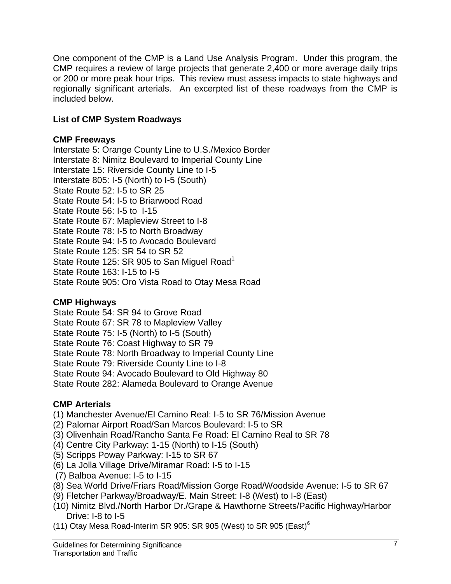One component of the CMP is a Land Use Analysis Program. Under this program, the CMP requires a review of large projects that generate 2,400 or more average daily trips or 200 or more peak hour trips. This review must assess impacts to state highways and regionally significant arterials. An excerpted list of these roadways from the CMP is included below.

# **List of CMP System Roadways**

## **CMP Freeways**

Interstate 5: Orange County Line to U.S./Mexico Border Interstate 8: Nimitz Boulevard to Imperial County Line Interstate 15: Riverside County Line to I-5 Interstate 805: I-5 (North) to I-5 (South) State Route 52: I-5 to SR 25 State Route 54: I-5 to Briarwood Road State Route 56: I-5 to I-15 State Route 67: Mapleview Street to I-8 State Route 78: I-5 to North Broadway State Route 94: I-5 to Avocado Boulevard State Route 125: SR 54 to SR 52 State Route 125: SR 905 to San Miguel Road<sup>1</sup> State Route 163: I-15 to I-5 State Route 905: Oro Vista Road to Otay Mesa Road

# **CMP Highways**

State Route 54: SR 94 to Grove Road State Route 67: SR 78 to Mapleview Valley State Route 75: I-5 (North) to I-5 (South) State Route 76: Coast Highway to SR 79 State Route 78: North Broadway to Imperial County Line State Route 79: Riverside County Line to I-8 State Route 94: Avocado Boulevard to Old Highway 80 State Route 282: Alameda Boulevard to Orange Avenue

# **CMP Arterials**

- (1) Manchester Avenue/El Camino Real: I-5 to SR 76/Mission Avenue
- (2) Palomar Airport Road/San Marcos Boulevard: I-5 to SR
- (3) Olivenhain Road/Rancho Santa Fe Road: El Camino Real to SR 78
- (4) Centre City Parkway: 1-15 (North) to I-15 (South)
- (5) Scripps Poway Parkway: I-15 to SR 67
- (6) La Jolla Village Drive/Miramar Road: I-5 to I-15
- (7) Balboa Avenue: I-5 to I-15
- (8) Sea World Drive/Friars Road/Mission Gorge Road/Woodside Avenue: I-5 to SR 67
- (9) Fletcher Parkway/Broadway/E. Main Street: I-8 (West) to I-8 (East)
- (10) Nimitz Blvd./North Harbor Dr./Grape & Hawthorne Streets/Pacific Highway/Harbor Drive: I-8 to I-5
- (11) Otay Mesa Road-Interim SR 905: SR 905 (West) to SR 905 (East)<sup>6</sup>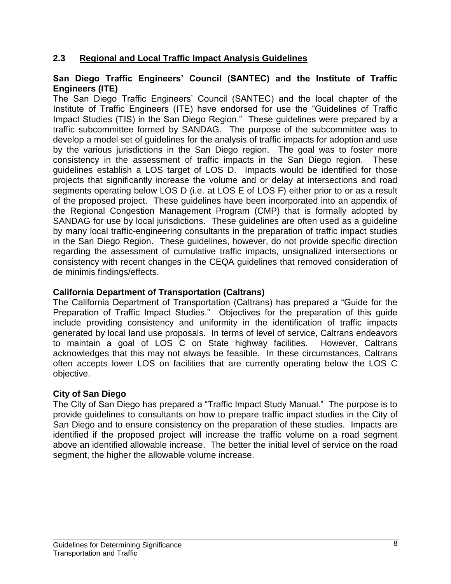#### **2.3 Regional and Local Traffic Impact Analysis Guidelines**

#### **San Diego Traffic Engineers' Council (SANTEC) and the Institute of Traffic Engineers (ITE)**

The San Diego Traffic Engineers' Council (SANTEC) and the local chapter of the Institute of Traffic Engineers (ITE) have endorsed for use the "Guidelines of Traffic Impact Studies (TIS) in the San Diego Region." These guidelines were prepared by a traffic subcommittee formed by SANDAG. The purpose of the subcommittee was to develop a model set of guidelines for the analysis of traffic impacts for adoption and use by the various jurisdictions in the San Diego region. The goal was to foster more consistency in the assessment of traffic impacts in the San Diego region. These guidelines establish a LOS target of LOS D. Impacts would be identified for those projects that significantly increase the volume and or delay at intersections and road segments operating below LOS D (i.e. at LOS E of LOS F) either prior to or as a result of the proposed project. These guidelines have been incorporated into an appendix of the Regional Congestion Management Program (CMP) that is formally adopted by SANDAG for use by local jurisdictions. These guidelines are often used as a guideline by many local traffic-engineering consultants in the preparation of traffic impact studies in the San Diego Region. These guidelines, however, do not provide specific direction regarding the assessment of cumulative traffic impacts, unsignalized intersections or consistency with recent changes in the CEQA guidelines that removed consideration of de minimis findings/effects.

#### **California Department of Transportation (Caltrans)**

The California Department of Transportation (Caltrans) has prepared a "Guide for the Preparation of Traffic Impact Studies." Objectives for the preparation of this guide include providing consistency and uniformity in the identification of traffic impacts generated by local land use proposals. In terms of level of service, Caltrans endeavors to maintain a goal of LOS C on State highway facilities. However, Caltrans acknowledges that this may not always be feasible. In these circumstances, Caltrans often accepts lower LOS on facilities that are currently operating below the LOS C objective.

#### **City of San Diego**

The City of San Diego has prepared a "Traffic Impact Study Manual." The purpose is to provide guidelines to consultants on how to prepare traffic impact studies in the City of San Diego and to ensure consistency on the preparation of these studies. Impacts are identified if the proposed project will increase the traffic volume on a road segment above an identified allowable increase. The better the initial level of service on the road segment, the higher the allowable volume increase.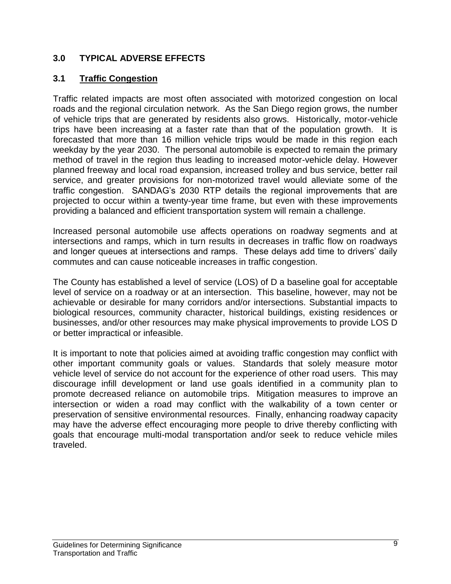## **3.0 TYPICAL ADVERSE EFFECTS**

# **3.1 Traffic Congestion**

Traffic related impacts are most often associated with motorized congestion on local roads and the regional circulation network. As the San Diego region grows, the number of vehicle trips that are generated by residents also grows. Historically, motor-vehicle trips have been increasing at a faster rate than that of the population growth. It is forecasted that more than 16 million vehicle trips would be made in this region each weekday by the year 2030. The personal automobile is expected to remain the primary method of travel in the region thus leading to increased motor-vehicle delay. However planned freeway and local road expansion, increased trolley and bus service, better rail service, and greater provisions for non-motorized travel would alleviate some of the traffic congestion. SANDAG's 2030 RTP details the regional improvements that are projected to occur within a twenty-year time frame, but even with these improvements providing a balanced and efficient transportation system will remain a challenge.

Increased personal automobile use affects operations on roadway segments and at intersections and ramps, which in turn results in decreases in traffic flow on roadways and longer queues at intersections and ramps. These delays add time to drivers' daily commutes and can cause noticeable increases in traffic congestion.

The County has established a level of service (LOS) of D a baseline goal for acceptable level of service on a roadway or at an intersection. This baseline, however, may not be achievable or desirable for many corridors and/or intersections. Substantial impacts to biological resources, community character, historical buildings, existing residences or businesses, and/or other resources may make physical improvements to provide LOS D or better impractical or infeasible.

It is important to note that policies aimed at avoiding traffic congestion may conflict with other important community goals or values. Standards that solely measure motor vehicle level of service do not account for the experience of other road users. This may discourage infill development or land use goals identified in a community plan to promote decreased reliance on automobile trips. Mitigation measures to improve an intersection or widen a road may conflict with the walkability of a town center or preservation of sensitive environmental resources. Finally, enhancing roadway capacity may have the adverse effect encouraging more people to drive thereby conflicting with goals that encourage multi-modal transportation and/or seek to reduce vehicle miles traveled.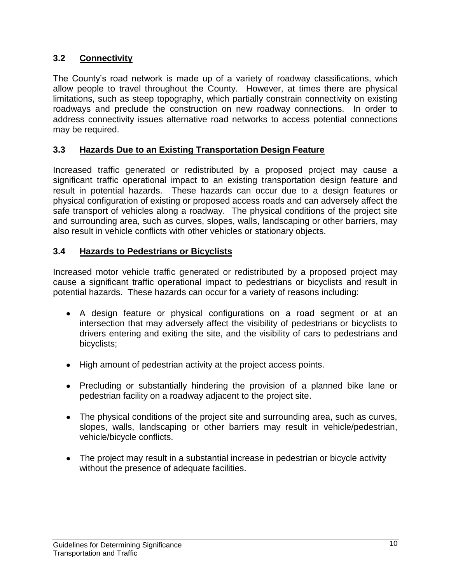# **3.2 Connectivity**

The County's road network is made up of a variety of roadway classifications, which allow people to travel throughout the County. However, at times there are physical limitations, such as steep topography, which partially constrain connectivity on existing roadways and preclude the construction on new roadway connections. In order to address connectivity issues alternative road networks to access potential connections may be required.

# **3.3 Hazards Due to an Existing Transportation Design Feature**

Increased traffic generated or redistributed by a proposed project may cause a significant traffic operational impact to an existing transportation design feature and result in potential hazards. These hazards can occur due to a design features or physical configuration of existing or proposed access roads and can adversely affect the safe transport of vehicles along a roadway. The physical conditions of the project site and surrounding area, such as curves, slopes, walls, landscaping or other barriers, may also result in vehicle conflicts with other vehicles or stationary objects.

## **3.4 Hazards to Pedestrians or Bicyclists**

Increased motor vehicle traffic generated or redistributed by a proposed project may cause a significant traffic operational impact to pedestrians or bicyclists and result in potential hazards. These hazards can occur for a variety of reasons including:

- A design feature or physical configurations on a road segment or at an intersection that may adversely affect the visibility of pedestrians or bicyclists to drivers entering and exiting the site, and the visibility of cars to pedestrians and bicyclists;
- High amount of pedestrian activity at the project access points.
- Precluding or substantially hindering the provision of a planned bike lane or pedestrian facility on a roadway adjacent to the project site.
- The physical conditions of the project site and surrounding area, such as curves, slopes, walls, landscaping or other barriers may result in vehicle/pedestrian, vehicle/bicycle conflicts.
- The project may result in a substantial increase in pedestrian or bicycle activity without the presence of adequate facilities.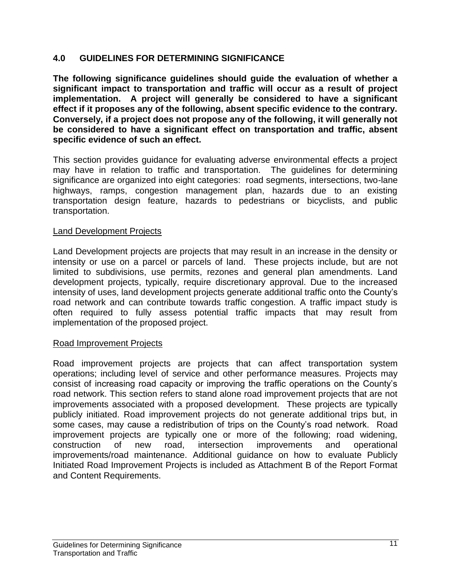#### **4.0 GUIDELINES FOR DETERMINING SIGNIFICANCE**

**The following significance guidelines should guide the evaluation of whether a significant impact to transportation and traffic will occur as a result of project implementation. A project will generally be considered to have a significant effect if it proposes any of the following, absent specific evidence to the contrary. Conversely, if a project does not propose any of the following, it will generally not be considered to have a significant effect on transportation and traffic, absent specific evidence of such an effect.**

This section provides guidance for evaluating adverse environmental effects a project may have in relation to traffic and transportation. The guidelines for determining significance are organized into eight categories: road segments, intersections, two-lane highways, ramps, congestion management plan, hazards due to an existing transportation design feature, hazards to pedestrians or bicyclists, and public transportation.

#### Land Development Projects

Land Development projects are projects that may result in an increase in the density or intensity or use on a parcel or parcels of land. These projects include, but are not limited to subdivisions, use permits, rezones and general plan amendments. Land development projects, typically, require discretionary approval. Due to the increased intensity of uses, land development projects generate additional traffic onto the County's road network and can contribute towards traffic congestion. A traffic impact study is often required to fully assess potential traffic impacts that may result from implementation of the proposed project.

#### Road Improvement Projects

Road improvement projects are projects that can affect transportation system operations; including level of service and other performance measures. Projects may consist of increasing road capacity or improving the traffic operations on the County's road network. This section refers to stand alone road improvement projects that are not improvements associated with a proposed development. These projects are typically publicly initiated. Road improvement projects do not generate additional trips but, in some cases, may cause a redistribution of trips on the County's road network. Road improvement projects are typically one or more of the following; road widening, construction of new road, intersection improvements and operational improvements/road maintenance. Additional guidance on how to evaluate Publicly Initiated Road Improvement Projects is included as Attachment B of the Report Format and Content Requirements.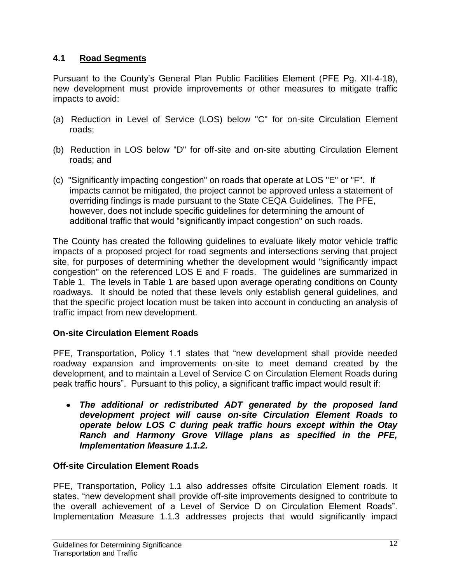# **4.1 Road Segments**

Pursuant to the County's General Plan Public Facilities Element (PFE Pg. XII-4-18), new development must provide improvements or other measures to mitigate traffic impacts to avoid:

- (a) Reduction in Level of Service (LOS) below "C" for on-site Circulation Element roads;
- (b) Reduction in LOS below "D" for off-site and on-site abutting Circulation Element roads; and
- (c) "Significantly impacting congestion" on roads that operate at LOS "E" or "F". If impacts cannot be mitigated, the project cannot be approved unless a statement of overriding findings is made pursuant to the State CEQA Guidelines. The PFE, however, does not include specific guidelines for determining the amount of additional traffic that would "significantly impact congestion" on such roads.

The County has created the following guidelines to evaluate likely motor vehicle traffic impacts of a proposed project for road segments and intersections serving that project site, for purposes of determining whether the development would "significantly impact congestion" on the referenced LOS E and F roads. The guidelines are summarized in Table 1. The levels in Table 1 are based upon average operating conditions on County roadways. It should be noted that these levels only establish general guidelines, and that the specific project location must be taken into account in conducting an analysis of traffic impact from new development.

## **On-site Circulation Element Roads**

PFE, Transportation, Policy 1.1 states that "new development shall provide needed roadway expansion and improvements on-site to meet demand created by the development, and to maintain a Level of Service C on Circulation Element Roads during peak traffic hours". Pursuant to this policy, a significant traffic impact would result if:

*The additional or redistributed ADT generated by the proposed land development project will cause on-site Circulation Element Roads to operate below LOS C during peak traffic hours except within the Otay Ranch and Harmony Grove Village plans as specified in the PFE, Implementation Measure 1.1.2.*

## **Off-site Circulation Element Roads**

PFE, Transportation, Policy 1.1 also addresses offsite Circulation Element roads. It states, "new development shall provide off-site improvements designed to contribute to the overall achievement of a Level of Service D on Circulation Element Roads". Implementation Measure 1.1.3 addresses projects that would significantly impact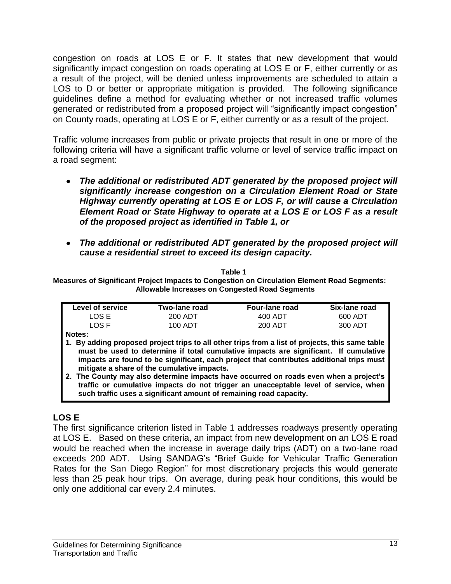congestion on roads at LOS E or F. It states that new development that would significantly impact congestion on roads operating at LOS E or F, either currently or as a result of the project, will be denied unless improvements are scheduled to attain a LOS to D or better or appropriate mitigation is provided. The following significance guidelines define a method for evaluating whether or not increased traffic volumes generated or redistributed from a proposed project will "significantly impact congestion" on County roads, operating at LOS E or F, either currently or as a result of the project.

Traffic volume increases from public or private projects that result in one or more of the following criteria will have a significant traffic volume or level of service traffic impact on a road segment:

- *The additional or redistributed ADT generated by the proposed project will significantly increase congestion on a Circulation Element Road or State Highway currently operating at LOS E or LOS F, or will cause a Circulation Element Road or State Highway to operate at a LOS E or LOS F as a result of the proposed project as identified in Table 1, or*
- *The additional or redistributed ADT generated by the proposed project will cause a residential street to exceed its design capacity.*

**Table 1**

**Measures of Significant Project Impacts to Congestion on Circulation Element Road Segments: Allowable Increases on Congested Road Segments**

| Level of service | Two-lane road | Four-lane road | Six-lane road |
|------------------|---------------|----------------|---------------|
| LOS E            | 200 ADT       | 400 ADT        | 600 ADT       |
| _OS F            | 100 ADT       | 200 ADT        | 300 ADT       |

**Notes:**

- **1. By adding proposed project trips to all other trips from a list of projects, this same table must be used to determine if total cumulative impacts are significant. If cumulative impacts are found to be significant, each project that contributes additional trips must mitigate a share of the cumulative impacts.**
- **2. The County may also determine impacts have occurred on roads even when a project's traffic or cumulative impacts do not trigger an unacceptable level of service, when such traffic uses a significant amount of remaining road capacity.**

# **LOS E**

The first significance criterion listed in Table 1 addresses roadways presently operating at LOS E. Based on these criteria, an impact from new development on an LOS E road would be reached when the increase in average daily trips (ADT) on a two-lane road exceeds 200 ADT. Using SANDAG's "Brief Guide for Vehicular Traffic Generation Rates for the San Diego Region" for most discretionary projects this would generate less than 25 peak hour trips. On average, during peak hour conditions, this would be only one additional car every 2.4 minutes.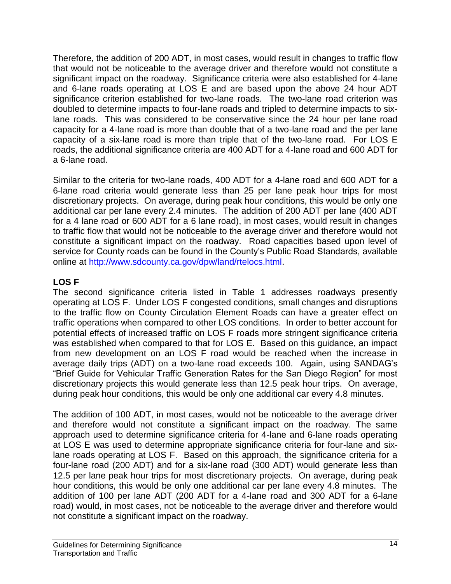Therefore, the addition of 200 ADT, in most cases, would result in changes to traffic flow that would not be noticeable to the average driver and therefore would not constitute a significant impact on the roadway. Significance criteria were also established for 4-lane and 6-lane roads operating at LOS E and are based upon the above 24 hour ADT significance criterion established for two-lane roads. The two-lane road criterion was doubled to determine impacts to four-lane roads and tripled to determine impacts to sixlane roads. This was considered to be conservative since the 24 hour per lane road capacity for a 4-lane road is more than double that of a two-lane road and the per lane capacity of a six-lane road is more than triple that of the two-lane road. For LOS E roads, the additional significance criteria are 400 ADT for a 4-lane road and 600 ADT for a 6-lane road.

Similar to the criteria for two-lane roads, 400 ADT for a 4-lane road and 600 ADT for a 6-lane road criteria would generate less than 25 per lane peak hour trips for most discretionary projects. On average, during peak hour conditions, this would be only one additional car per lane every 2.4 minutes. The addition of 200 ADT per lane (400 ADT for a 4 lane road or 600 ADT for a 6 lane road), in most cases, would result in changes to traffic flow that would not be noticeable to the average driver and therefore would not constitute a significant impact on the roadway. Road capacities based upon level of service for County roads can be found in the County's Public Road Standards, available online at [http://www.sdcounty.ca.gov/dpw/land/rtelocs.html.](http://www.sdcounty.ca.gov/dpw/land/rtelocs.html)

## **LOS F**

The second significance criteria listed in Table 1 addresses roadways presently operating at LOS F. Under LOS F congested conditions, small changes and disruptions to the traffic flow on County Circulation Element Roads can have a greater effect on traffic operations when compared to other LOS conditions. In order to better account for potential effects of increased traffic on LOS F roads more stringent significance criteria was established when compared to that for LOS E. Based on this guidance, an impact from new development on an LOS F road would be reached when the increase in average daily trips (ADT) on a two-lane road exceeds 100. Again, using SANDAG's "Brief Guide for Vehicular Traffic Generation Rates for the San Diego Region" for most discretionary projects this would generate less than 12.5 peak hour trips. On average, during peak hour conditions, this would be only one additional car every 4.8 minutes.

The addition of 100 ADT, in most cases, would not be noticeable to the average driver and therefore would not constitute a significant impact on the roadway. The same approach used to determine significance criteria for 4-lane and 6-lane roads operating at LOS E was used to determine appropriate significance criteria for four-lane and sixlane roads operating at LOS F. Based on this approach, the significance criteria for a four-lane road (200 ADT) and for a six-lane road (300 ADT) would generate less than 12.5 per lane peak hour trips for most discretionary projects. On average, during peak hour conditions, this would be only one additional car per lane every 4.8 minutes. The addition of 100 per lane ADT (200 ADT for a 4-lane road and 300 ADT for a 6-lane road) would, in most cases, not be noticeable to the average driver and therefore would not constitute a significant impact on the roadway.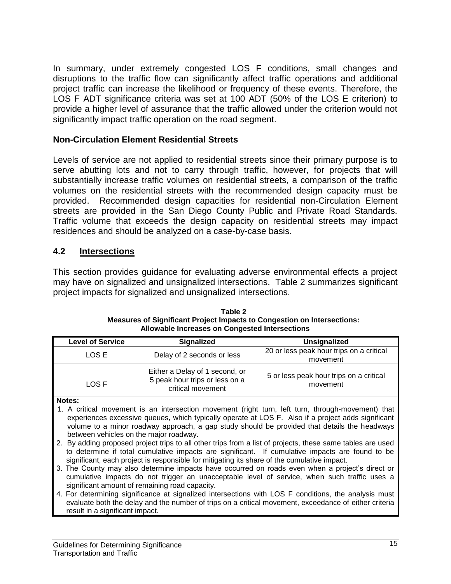In summary, under extremely congested LOS F conditions, small changes and disruptions to the traffic flow can significantly affect traffic operations and additional project traffic can increase the likelihood or frequency of these events. Therefore, the LOS F ADT significance criteria was set at 100 ADT (50% of the LOS E criterion) to provide a higher level of assurance that the traffic allowed under the criterion would not significantly impact traffic operation on the road segment.

#### **Non-Circulation Element Residential Streets**

Levels of service are not applied to residential streets since their primary purpose is to serve abutting lots and not to carry through traffic, however, for projects that will substantially increase traffic volumes on residential streets, a comparison of the traffic volumes on the residential streets with the recommended design capacity must be provided. Recommended design capacities for residential non-Circulation Element streets are provided in the San Diego County Public and Private Road Standards. Traffic volume that exceeds the design capacity on residential streets may impact residences and should be analyzed on a case-by-case basis.

#### **4.2 Intersections**

This section provides guidance for evaluating adverse environmental effects a project may have on signalized and unsignalized intersections. Table 2 summarizes significant project impacts for signalized and unsignalized intersections.

| <b>Level of Service</b> | <b>Signalized</b>                                                                     | <b>Unsignalized</b>                                                                               |
|-------------------------|---------------------------------------------------------------------------------------|---------------------------------------------------------------------------------------------------|
| LOS E                   | Delay of 2 seconds or less                                                            | 20 or less peak hour trips on a critical<br>movement                                              |
| LOS F                   | Either a Delay of 1 second, or<br>5 peak hour trips or less on a<br>critical movement | 5 or less peak hour trips on a critical<br>movement                                               |
| Notes:                  |                                                                                       | 1. A critical movement is an intersection movement (right turn, left turn, through-movement) that |

**Table 2 Measures of Significant Project Impacts to Congestion on Intersections: Allowable Increases on Congested Intersections**

- 1. A critical movement is an intersection movement (right turn, left turn, through-movement) that experiences excessive queues, which typically operate at LOS F. Also if a project adds significant volume to a minor roadway approach, a gap study should be provided that details the headways between vehicles on the major roadway.
- 2. By adding proposed project trips to all other trips from a list of projects, these same tables are used to determine if total cumulative impacts are significant. If cumulative impacts are found to be significant, each project is responsible for mitigating its share of the cumulative impact.
- 3. The County may also determine impacts have occurred on roads even when a project's direct or cumulative impacts do not trigger an unacceptable level of service, when such traffic uses a significant amount of remaining road capacity.
- 4. For determining significance at signalized intersections with LOS F conditions, the analysis must evaluate both the delay and the number of trips on a critical movement, exceedance of either criteria result in a significant impact.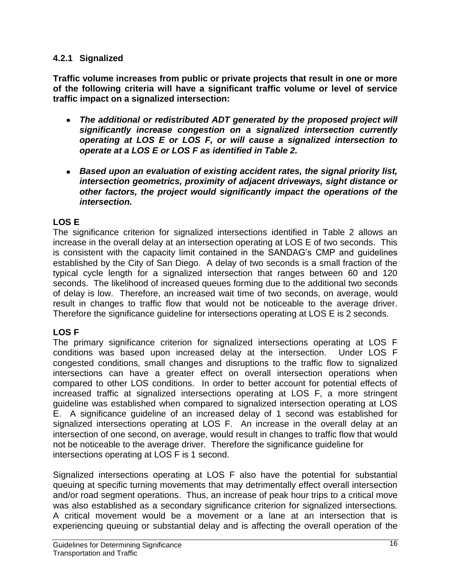#### **4.2.1 Signalized**

**Traffic volume increases from public or private projects that result in one or more of the following criteria will have a significant traffic volume or level of service traffic impact on a signalized intersection:** 

- *The additional or redistributed ADT generated by the proposed project will significantly increase congestion on a signalized intersection currently operating at LOS E or LOS F, or will cause a signalized intersection to operate at a LOS E or LOS F as identified in Table 2.*
- *Based upon an evaluation of existing accident rates, the signal priority list, intersection geometrics, proximity of adjacent driveways, sight distance or other factors, the project would significantly impact the operations of the intersection.*

# **LOS E**

The significance criterion for signalized intersections identified in Table 2 allows an increase in the overall delay at an intersection operating at LOS E of two seconds. This is consistent with the capacity limit contained in the SANDAG's CMP and guidelines established by the City of San Diego. A delay of two seconds is a small fraction of the typical cycle length for a signalized intersection that ranges between 60 and 120 seconds. The likelihood of increased queues forming due to the additional two seconds of delay is low. Therefore, an increased wait time of two seconds, on average, would result in changes to traffic flow that would not be noticeable to the average driver. Therefore the significance guideline for intersections operating at LOS E is 2 seconds.

# **LOS F**

The primary significance criterion for signalized intersections operating at LOS F conditions was based upon increased delay at the intersection. Under LOS F congested conditions, small changes and disruptions to the traffic flow to signalized intersections can have a greater effect on overall intersection operations when compared to other LOS conditions. In order to better account for potential effects of increased traffic at signalized intersections operating at LOS F, a more stringent guideline was established when compared to signalized intersection operating at LOS E. A significance guideline of an increased delay of 1 second was established for signalized intersections operating at LOS F. An increase in the overall delay at an intersection of one second, on average, would result in changes to traffic flow that would not be noticeable to the average driver. Therefore the significance guideline for intersections operating at LOS F is 1 second.

Signalized intersections operating at LOS F also have the potential for substantial queuing at specific turning movements that may detrimentally effect overall intersection and/or road segment operations. Thus, an increase of peak hour trips to a critical move was also established as a secondary significance criterion for signalized intersections. A critical movement would be a movement or a lane at an intersection that is experiencing queuing or substantial delay and is affecting the overall operation of the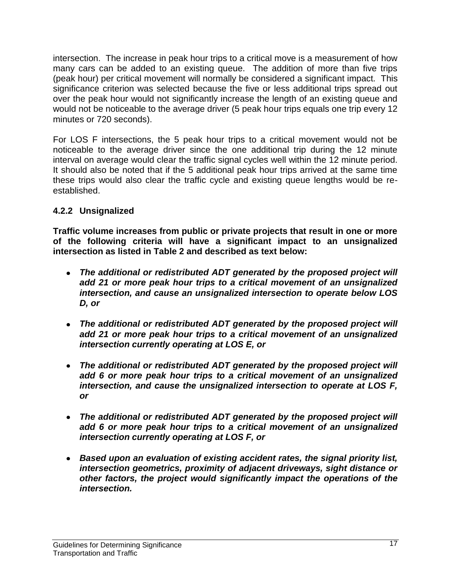intersection. The increase in peak hour trips to a critical move is a measurement of how many cars can be added to an existing queue. The addition of more than five trips (peak hour) per critical movement will normally be considered a significant impact. This significance criterion was selected because the five or less additional trips spread out over the peak hour would not significantly increase the length of an existing queue and would not be noticeable to the average driver (5 peak hour trips equals one trip every 12 minutes or 720 seconds).

For LOS F intersections, the 5 peak hour trips to a critical movement would not be noticeable to the average driver since the one additional trip during the 12 minute interval on average would clear the traffic signal cycles well within the 12 minute period. It should also be noted that if the 5 additional peak hour trips arrived at the same time these trips would also clear the traffic cycle and existing queue lengths would be reestablished.

# **4.2.2 Unsignalized**

**Traffic volume increases from public or private projects that result in one or more of the following criteria will have a significant impact to an unsignalized intersection as listed in Table 2 and described as text below:**

- *The additional or redistributed ADT generated by the proposed project will add 21 or more peak hour trips to a critical movement of an unsignalized intersection, and cause an unsignalized intersection to operate below LOS D, or*
- *The additional or redistributed ADT generated by the proposed project will add 21 or more peak hour trips to a critical movement of an unsignalized intersection currently operating at LOS E, or*
- *The additional or redistributed ADT generated by the proposed project will add 6 or more peak hour trips to a critical movement of an unsignalized intersection, and cause the unsignalized intersection to operate at LOS F, or*
- *The additional or redistributed ADT generated by the proposed project will add 6 or more peak hour trips to a critical movement of an unsignalized intersection currently operating at LOS F, or*
- *Based upon an evaluation of existing accident rates, the signal priority list, intersection geometrics, proximity of adjacent driveways, sight distance or other factors, the project would significantly impact the operations of the intersection.*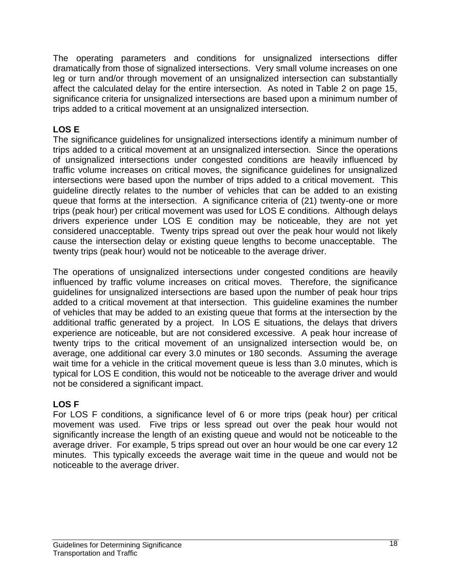The operating parameters and conditions for unsignalized intersections differ dramatically from those of signalized intersections. Very small volume increases on one leg or turn and/or through movement of an unsignalized intersection can substantially affect the calculated delay for the entire intersection. As noted in Table 2 on page 15, significance criteria for unsignalized intersections are based upon a minimum number of trips added to a critical movement at an unsignalized intersection.

# **LOS E**

The significance guidelines for unsignalized intersections identify a minimum number of trips added to a critical movement at an unsignalized intersection. Since the operations of unsignalized intersections under congested conditions are heavily influenced by traffic volume increases on critical moves, the significance guidelines for unsignalized intersections were based upon the number of trips added to a critical movement. This guideline directly relates to the number of vehicles that can be added to an existing queue that forms at the intersection. A significance criteria of (21) twenty-one or more trips (peak hour) per critical movement was used for LOS E conditions. Although delays drivers experience under LOS E condition may be noticeable, they are not yet considered unacceptable. Twenty trips spread out over the peak hour would not likely cause the intersection delay or existing queue lengths to become unacceptable. The twenty trips (peak hour) would not be noticeable to the average driver.

The operations of unsignalized intersections under congested conditions are heavily influenced by traffic volume increases on critical moves. Therefore, the significance guidelines for unsignalized intersections are based upon the number of peak hour trips added to a critical movement at that intersection. This guideline examines the number of vehicles that may be added to an existing queue that forms at the intersection by the additional traffic generated by a project. In LOS E situations, the delays that drivers experience are noticeable, but are not considered excessive. A peak hour increase of twenty trips to the critical movement of an unsignalized intersection would be, on average, one additional car every 3.0 minutes or 180 seconds. Assuming the average wait time for a vehicle in the critical movement queue is less than 3.0 minutes, which is typical for LOS E condition, this would not be noticeable to the average driver and would not be considered a significant impact.

# **LOS F**

For LOS F conditions, a significance level of 6 or more trips (peak hour) per critical movement was used. Five trips or less spread out over the peak hour would not significantly increase the length of an existing queue and would not be noticeable to the average driver. For example, 5 trips spread out over an hour would be one car every 12 minutes. This typically exceeds the average wait time in the queue and would not be noticeable to the average driver.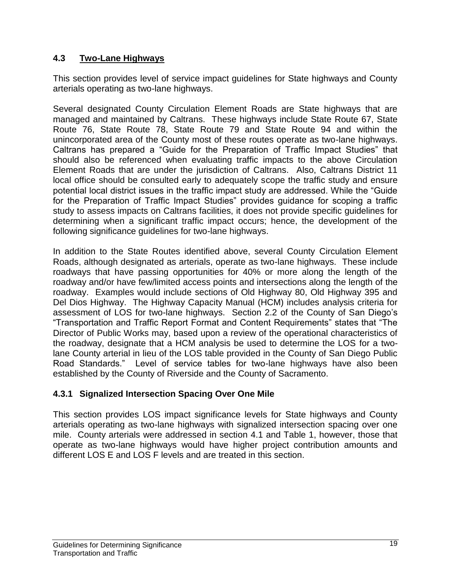## **4.3 Two-Lane Highways**

This section provides level of service impact guidelines for State highways and County arterials operating as two-lane highways.

Several designated County Circulation Element Roads are State highways that are managed and maintained by Caltrans. These highways include State Route 67, State Route 76, State Route 78, State Route 79 and State Route 94 and within the unincorporated area of the County most of these routes operate as two-lane highways. Caltrans has prepared a "Guide for the Preparation of Traffic Impact Studies" that should also be referenced when evaluating traffic impacts to the above Circulation Element Roads that are under the jurisdiction of Caltrans. Also, Caltrans District 11 local office should be consulted early to adequately scope the traffic study and ensure potential local district issues in the traffic impact study are addressed. While the "Guide for the Preparation of Traffic Impact Studies" provides guidance for scoping a traffic study to assess impacts on Caltrans facilities, it does not provide specific guidelines for determining when a significant traffic impact occurs; hence, the development of the following significance guidelines for two-lane highways.

In addition to the State Routes identified above, several County Circulation Element Roads, although designated as arterials, operate as two-lane highways. These include roadways that have passing opportunities for 40% or more along the length of the roadway and/or have few/limited access points and intersections along the length of the roadway. Examples would include sections of Old Highway 80, Old Highway 395 and Del Dios Highway. The Highway Capacity Manual (HCM) includes analysis criteria for assessment of LOS for two-lane highways. Section 2.2 of the County of San Diego's "Transportation and Traffic Report Format and Content Requirements" states that "The Director of Public Works may, based upon a review of the operational characteristics of the roadway, designate that a HCM analysis be used to determine the LOS for a twolane County arterial in lieu of the LOS table provided in the County of San Diego Public Road Standards." Level of service tables for two-lane highways have also been established by the County of Riverside and the County of Sacramento.

# **4.3.1 Signalized Intersection Spacing Over One Mile**

This section provides LOS impact significance levels for State highways and County arterials operating as two-lane highways with signalized intersection spacing over one mile. County arterials were addressed in section 4.1 and Table 1, however, those that operate as two-lane highways would have higher project contribution amounts and different LOS E and LOS F levels and are treated in this section.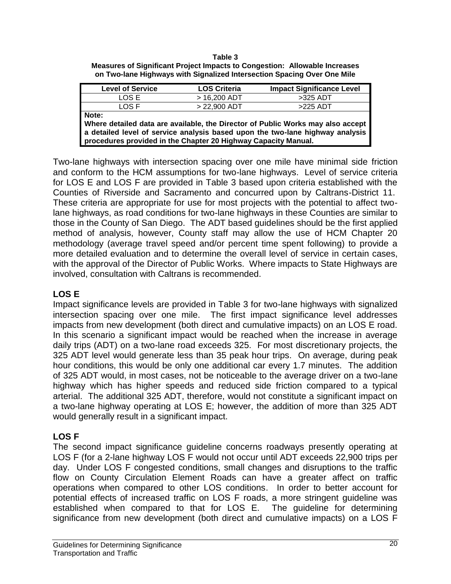#### **Table 3**

| <b>Measures of Significant Project Impacts to Congestion: Allowable Increases</b> |  |
|-----------------------------------------------------------------------------------|--|
| on Two-lane Highways with Signalized Intersection Spacing Over One Mile           |  |

| <b>Level of Service</b>                                                                                                                                                                                                                     | <b>LOS Criteria</b> | <b>Impact Significance Level</b> |  |  |  |
|---------------------------------------------------------------------------------------------------------------------------------------------------------------------------------------------------------------------------------------------|---------------------|----------------------------------|--|--|--|
| LOS E                                                                                                                                                                                                                                       | $> 16,200$ ADT      | $>325$ ADT                       |  |  |  |
| LOS F                                                                                                                                                                                                                                       | $> 22,900$ ADT      | >225 ADT                         |  |  |  |
| Note:<br>Where detailed data are available, the Director of Public Works may also accept<br>a detailed level of service analysis based upon the two-lane highway analysis<br>procedures provided in the Chapter 20 Highway Capacity Manual. |                     |                                  |  |  |  |

Two-lane highways with intersection spacing over one mile have minimal side friction and conform to the HCM assumptions for two-lane highways. Level of service criteria for LOS E and LOS F are provided in Table 3 based upon criteria established with the Counties of Riverside and Sacramento and concurred upon by Caltrans-District 11. These criteria are appropriate for use for most projects with the potential to affect twolane highways, as road conditions for two-lane highways in these Counties are similar to those in the County of San Diego. The ADT based guidelines should be the first applied method of analysis, however, County staff may allow the use of HCM Chapter 20 methodology (average travel speed and/or percent time spent following) to provide a more detailed evaluation and to determine the overall level of service in certain cases, with the approval of the Director of Public Works. Where impacts to State Highways are involved, consultation with Caltrans is recommended.

#### **LOS E**

Impact significance levels are provided in Table 3 for two-lane highways with signalized intersection spacing over one mile. The first impact significance level addresses impacts from new development (both direct and cumulative impacts) on an LOS E road. In this scenario a significant impact would be reached when the increase in average daily trips (ADT) on a two-lane road exceeds 325. For most discretionary projects, the 325 ADT level would generate less than 35 peak hour trips. On average, during peak hour conditions, this would be only one additional car every 1.7 minutes. The addition of 325 ADT would, in most cases, not be noticeable to the average driver on a two-lane highway which has higher speeds and reduced side friction compared to a typical arterial. The additional 325 ADT, therefore, would not constitute a significant impact on a two-lane highway operating at LOS E; however, the addition of more than 325 ADT would generally result in a significant impact.

#### **LOS F**

The second impact significance guideline concerns roadways presently operating at LOS F (for a 2-lane highway LOS F would not occur until ADT exceeds 22,900 trips per day. Under LOS F congested conditions, small changes and disruptions to the traffic flow on County Circulation Element Roads can have a greater affect on traffic operations when compared to other LOS conditions. In order to better account for potential effects of increased traffic on LOS F roads, a more stringent guideline was established when compared to that for LOS E. The guideline for determining significance from new development (both direct and cumulative impacts) on a LOS F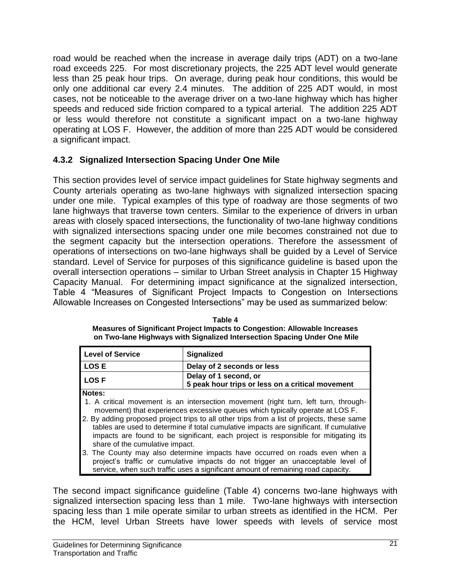road would be reached when the increase in average daily trips (ADT) on a two-lane road exceeds 225. For most discretionary projects, the 225 ADT level would generate less than 25 peak hour trips. On average, during peak hour conditions, this would be only one additional car every 2.4 minutes. The addition of 225 ADT would, in most cases, not be noticeable to the average driver on a two-lane highway which has higher speeds and reduced side friction compared to a typical arterial. The addition 225 ADT or less would therefore not constitute a significant impact on a two-lane highway operating at LOS F. However, the addition of more than 225 ADT would be considered a significant impact.

# **4.3.2 Signalized Intersection Spacing Under One Mile**

This section provides level of service impact guidelines for State highway segments and County arterials operating as two-lane highways with signalized intersection spacing under one mile. Typical examples of this type of roadway are those segments of two lane highways that traverse town centers. Similar to the experience of drivers in urban areas with closely spaced intersections, the functionality of two-lane highway conditions with signalized intersections spacing under one mile becomes constrained not due to the segment capacity but the intersection operations. Therefore the assessment of operations of intersections on two-lane highways shall be guided by a Level of Service standard. Level of Service for purposes of this significance guideline is based upon the overall intersection operations – similar to Urban Street analysis in Chapter 15 Highway Capacity Manual. For determining impact significance at the signalized intersection, Table 4 "Measures of Significant Project Impacts to Congestion on Intersections Allowable Increases on Congested Intersections" may be used as summarized below:

**Table 4 Measures of Significant Project Impacts to Congestion: Allowable Increases on Two-lane Highways with Signalized Intersection Spacing Under One Mile**

| <b>Level of Service</b>                                                                                                                                                                                                                                                                                                                                                                                                                                                                           | <b>Signalized</b>                                                         |  |
|---------------------------------------------------------------------------------------------------------------------------------------------------------------------------------------------------------------------------------------------------------------------------------------------------------------------------------------------------------------------------------------------------------------------------------------------------------------------------------------------------|---------------------------------------------------------------------------|--|
| <b>LOSE</b>                                                                                                                                                                                                                                                                                                                                                                                                                                                                                       | Delay of 2 seconds or less                                                |  |
| <b>LOSF</b>                                                                                                                                                                                                                                                                                                                                                                                                                                                                                       | Delay of 1 second, or<br>5 peak hour trips or less on a critical movement |  |
| Notes:<br>1. A critical movement is an intersection movement (right turn, left turn, through-<br>movement) that experiences excessive queues which typically operate at LOS F.<br>2. By adding proposed project trips to all other trips from a list of projects, these same<br>tables are used to determine if total cumulative impacts are significant. If cumulative<br>impacts are found to be significant, each project is responsible for mitigating its<br>share of the cumulative impact. |                                                                           |  |
| 3. The County may also determine impacts have occurred on roads even when a<br>project's traffic or cumulative impacts do not trigger an unacceptable level of<br>service, when such traffic uses a significant amount of remaining road capacity.                                                                                                                                                                                                                                                |                                                                           |  |

The second impact significance guideline (Table 4) concerns two-lane highways with signalized intersection spacing less than 1 mile. Two-lane highways with intersection spacing less than 1 mile operate similar to urban streets as identified in the HCM. Per the HCM, level Urban Streets have lower speeds with levels of service most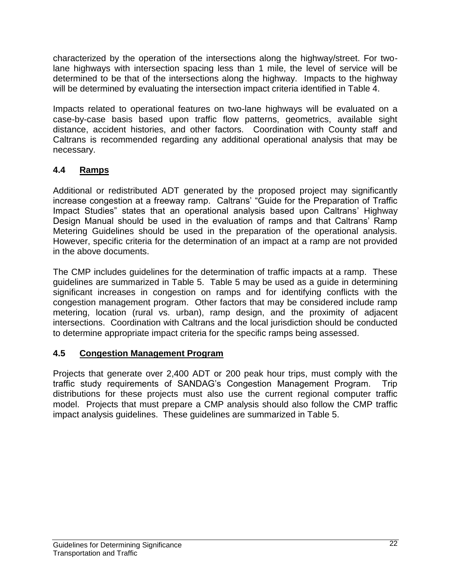characterized by the operation of the intersections along the highway/street. For twolane highways with intersection spacing less than 1 mile, the level of service will be determined to be that of the intersections along the highway. Impacts to the highway will be determined by evaluating the intersection impact criteria identified in Table 4.

Impacts related to operational features on two-lane highways will be evaluated on a case-by-case basis based upon traffic flow patterns, geometrics, available sight distance, accident histories, and other factors. Coordination with County staff and Caltrans is recommended regarding any additional operational analysis that may be necessary.

# **4.4 Ramps**

Additional or redistributed ADT generated by the proposed project may significantly increase congestion at a freeway ramp. Caltrans' "Guide for the Preparation of Traffic Impact Studies" states that an operational analysis based upon Caltrans' Highway Design Manual should be used in the evaluation of ramps and that Caltrans' Ramp Metering Guidelines should be used in the preparation of the operational analysis. However, specific criteria for the determination of an impact at a ramp are not provided in the above documents.

The CMP includes guidelines for the determination of traffic impacts at a ramp. These guidelines are summarized in Table 5. Table 5 may be used as a guide in determining significant increases in congestion on ramps and for identifying conflicts with the congestion management program. Other factors that may be considered include ramp metering, location (rural vs. urban), ramp design, and the proximity of adjacent intersections. Coordination with Caltrans and the local jurisdiction should be conducted to determine appropriate impact criteria for the specific ramps being assessed.

## **4.5 Congestion Management Program**

Projects that generate over 2,400 ADT or 200 peak hour trips, must comply with the traffic study requirements of SANDAG's Congestion Management Program. Trip distributions for these projects must also use the current regional computer traffic model. Projects that must prepare a CMP analysis should also follow the CMP traffic impact analysis guidelines. These guidelines are summarized in Table 5.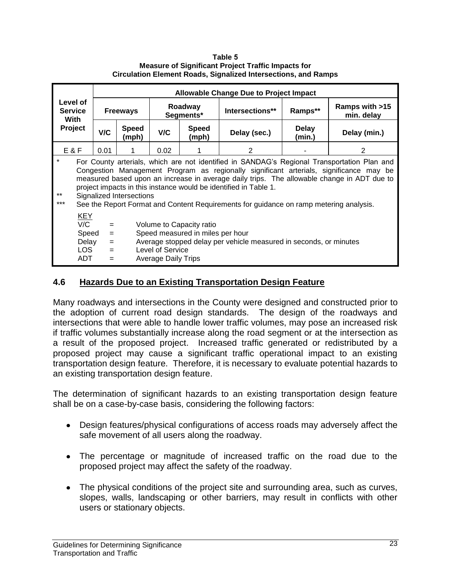**Table 5 Measure of Significant Project Traffic Impacts for Circulation Element Roads, Signalized Intersections, and Ramps**

|                                               |                                                    |                                                                                                                                                                                                                                                                                                                                                                                                                                                                               |                |                                                       |                                                              | <b>Allowable Change Due to Project Impact</b>                     |                        |                              |
|-----------------------------------------------|----------------------------------------------------|-------------------------------------------------------------------------------------------------------------------------------------------------------------------------------------------------------------------------------------------------------------------------------------------------------------------------------------------------------------------------------------------------------------------------------------------------------------------------------|----------------|-------------------------------------------------------|--------------------------------------------------------------|-------------------------------------------------------------------|------------------------|------------------------------|
| Level of<br><b>Service</b><br>With<br>Project |                                                    | <b>Freeways</b>                                                                                                                                                                                                                                                                                                                                                                                                                                                               |                | Roadway<br>Segments*                                  |                                                              | Intersections**                                                   | Ramps**                | Ramps with >15<br>min. delay |
|                                               |                                                    | V/C                                                                                                                                                                                                                                                                                                                                                                                                                                                                           | Speed<br>(mph) | V/C                                                   | <b>Speed</b><br>(mph)                                        | Delay (sec.)                                                      | <b>Delay</b><br>(min.) | Delay (min.)                 |
| E&F                                           |                                                    | 0.01                                                                                                                                                                                                                                                                                                                                                                                                                                                                          |                | 0.02                                                  |                                                              | $\mathcal{P}$                                                     |                        | 2                            |
| $\ast$<br>$***$<br>$***$                      |                                                    | For County arterials, which are not identified in SANDAG's Regional Transportation Plan and<br>Congestion Management Program as regionally significant arterials, significance may be<br>measured based upon an increase in average daily trips. The allowable change in ADT due to<br>project impacts in this instance would be identified in Table 1.<br>Signalized Intersections<br>See the Report Format and Content Requirements for guidance on ramp metering analysis. |                |                                                       |                                                              |                                                                   |                        |                              |
|                                               | <b>KEY</b><br>V/C<br>Speed<br>Delay<br>LOS.<br>ADT | $=$<br>$=$<br>$=$<br>$=$<br>$=$                                                                                                                                                                                                                                                                                                                                                                                                                                               |                | <b>Level of Service</b><br><b>Average Daily Trips</b> | Volume to Capacity ratio<br>Speed measured in miles per hour | Average stopped delay per vehicle measured in seconds, or minutes |                        |                              |

# **4.6 Hazards Due to an Existing Transportation Design Feature**

Many roadways and intersections in the County were designed and constructed prior to the adoption of current road design standards. The design of the roadways and intersections that were able to handle lower traffic volumes, may pose an increased risk if traffic volumes substantially increase along the road segment or at the intersection as a result of the proposed project. Increased traffic generated or redistributed by a proposed project may cause a significant traffic operational impact to an existing transportation design feature. Therefore, it is necessary to evaluate potential hazards to an existing transportation design feature.

The determination of significant hazards to an existing transportation design feature shall be on a case-by-case basis, considering the following factors:

- Design features/physical configurations of access roads may adversely affect the safe movement of all users along the roadway.
- The percentage or magnitude of increased traffic on the road due to the proposed project may affect the safety of the roadway.
- The physical conditions of the project site and surrounding area, such as curves, slopes, walls, landscaping or other barriers, may result in conflicts with other users or stationary objects.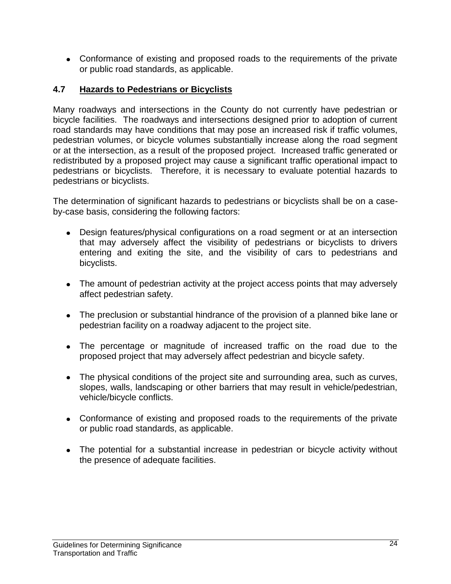Conformance of existing and proposed roads to the requirements of the private or public road standards, as applicable.

#### **4.7 Hazards to Pedestrians or Bicyclists**

Many roadways and intersections in the County do not currently have pedestrian or bicycle facilities. The roadways and intersections designed prior to adoption of current road standards may have conditions that may pose an increased risk if traffic volumes, pedestrian volumes, or bicycle volumes substantially increase along the road segment or at the intersection, as a result of the proposed project. Increased traffic generated or redistributed by a proposed project may cause a significant traffic operational impact to pedestrians or bicyclists. Therefore, it is necessary to evaluate potential hazards to pedestrians or bicyclists.

The determination of significant hazards to pedestrians or bicyclists shall be on a caseby-case basis, considering the following factors:

- Design features/physical configurations on a road segment or at an intersection that may adversely affect the visibility of pedestrians or bicyclists to drivers entering and exiting the site, and the visibility of cars to pedestrians and bicyclists.
- The amount of pedestrian activity at the project access points that may adversely affect pedestrian safety.
- The preclusion or substantial hindrance of the provision of a planned bike lane or pedestrian facility on a roadway adjacent to the project site.
- The percentage or magnitude of increased traffic on the road due to the proposed project that may adversely affect pedestrian and bicycle safety.
- The physical conditions of the project site and surrounding area, such as curves, slopes, walls, landscaping or other barriers that may result in vehicle/pedestrian, vehicle/bicycle conflicts.
- Conformance of existing and proposed roads to the requirements of the private or public road standards, as applicable.
- The potential for a substantial increase in pedestrian or bicycle activity without the presence of adequate facilities.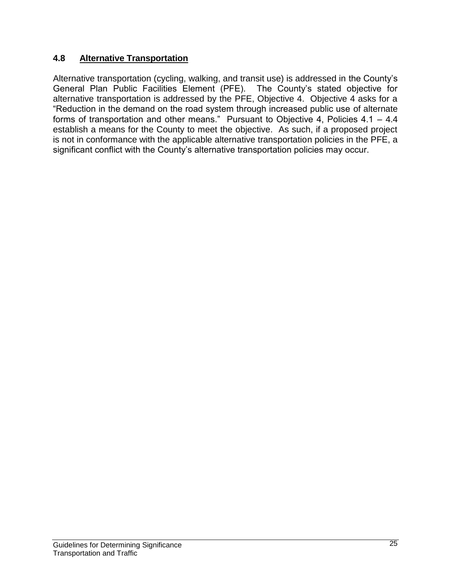## **4.8 Alternative Transportation**

Alternative transportation (cycling, walking, and transit use) is addressed in the County's General Plan Public Facilities Element (PFE). The County's stated objective for alternative transportation is addressed by the PFE, Objective 4. Objective 4 asks for a "Reduction in the demand on the road system through increased public use of alternate forms of transportation and other means." Pursuant to Objective 4, Policies 4.1 – 4.4 establish a means for the County to meet the objective. As such, if a proposed project is not in conformance with the applicable alternative transportation policies in the PFE, a significant conflict with the County's alternative transportation policies may occur.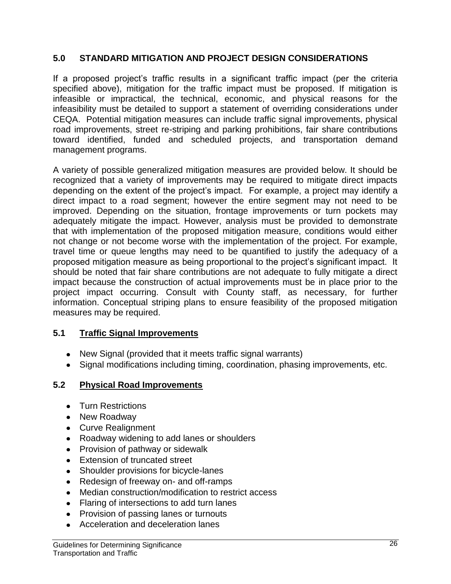#### **5.0 STANDARD MITIGATION AND PROJECT DESIGN CONSIDERATIONS**

If a proposed project's traffic results in a significant traffic impact (per the criteria specified above), mitigation for the traffic impact must be proposed. If mitigation is infeasible or impractical, the technical, economic, and physical reasons for the infeasibility must be detailed to support a statement of overriding considerations under CEQA. Potential mitigation measures can include traffic signal improvements, physical road improvements, street re-striping and parking prohibitions, fair share contributions toward identified, funded and scheduled projects, and transportation demand management programs.

A variety of possible generalized mitigation measures are provided below. It should be recognized that a variety of improvements may be required to mitigate direct impacts depending on the extent of the project's impact. For example, a project may identify a direct impact to a road segment; however the entire segment may not need to be improved. Depending on the situation, frontage improvements or turn pockets may adequately mitigate the impact. However, analysis must be provided to demonstrate that with implementation of the proposed mitigation measure, conditions would either not change or not become worse with the implementation of the project. For example, travel time or queue lengths may need to be quantified to justify the adequacy of a proposed mitigation measure as being proportional to the project's significant impact. It should be noted that fair share contributions are not adequate to fully mitigate a direct impact because the construction of actual improvements must be in place prior to the project impact occurring. Consult with County staff, as necessary, for further information. Conceptual striping plans to ensure feasibility of the proposed mitigation measures may be required.

#### **5.1 Traffic Signal Improvements**

- New Signal (provided that it meets traffic signal warrants)
- Signal modifications including timing, coordination, phasing improvements, etc.

#### **5.2 Physical Road Improvements**

- Turn Restrictions
- New Roadway
- Curve Realignment
- Roadway widening to add lanes or shoulders
- Provision of pathway or sidewalk
- Extension of truncated street
- Shoulder provisions for bicycle-lanes
- Redesign of freeway on- and off-ramps
- Median construction/modification to restrict access
- Flaring of intersections to add turn lanes
- Provision of passing lanes or turnouts
- Acceleration and deceleration lanes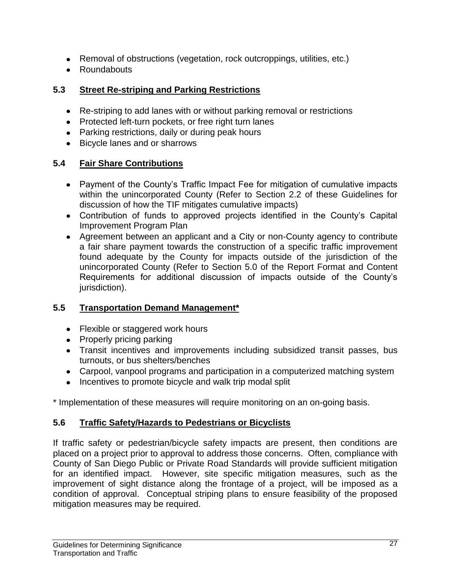- Removal of obstructions (vegetation, rock outcroppings, utilities, etc.)
- Roundabouts

# **5.3 Street Re-striping and Parking Restrictions**

- Re-striping to add lanes with or without parking removal or restrictions
- Protected left-turn pockets, or free right turn lanes
- Parking restrictions, daily or during peak hours
- Bicycle lanes and or sharrows

# **5.4 Fair Share Contributions**

- Payment of the County's Traffic Impact Fee for mitigation of cumulative impacts within the unincorporated County (Refer to Section 2.2 of these Guidelines for discussion of how the TIF mitigates cumulative impacts)
- Contribution of funds to approved projects identified in the County's Capital Improvement Program Plan
- Agreement between an applicant and a City or non-County agency to contribute a fair share payment towards the construction of a specific traffic improvement found adequate by the County for impacts outside of the jurisdiction of the unincorporated County (Refer to Section 5.0 of the Report Format and Content Requirements for additional discussion of impacts outside of the County's jurisdiction).

# **5.5 Transportation Demand Management\***

- Flexible or staggered work hours
- Properly pricing parking
- Transit incentives and improvements including subsidized transit passes, bus turnouts, or bus shelters/benches
- Carpool, vanpool programs and participation in a computerized matching system
- Incentives to promote bicycle and walk trip modal split

\* Implementation of these measures will require monitoring on an on-going basis.

# **5.6 Traffic Safety/Hazards to Pedestrians or Bicyclists**

If traffic safety or pedestrian/bicycle safety impacts are present, then conditions are placed on a project prior to approval to address those concerns. Often, compliance with County of San Diego Public or Private Road Standards will provide sufficient mitigation for an identified impact. However, site specific mitigation measures, such as the improvement of sight distance along the frontage of a project, will be imposed as a condition of approval. Conceptual striping plans to ensure feasibility of the proposed mitigation measures may be required.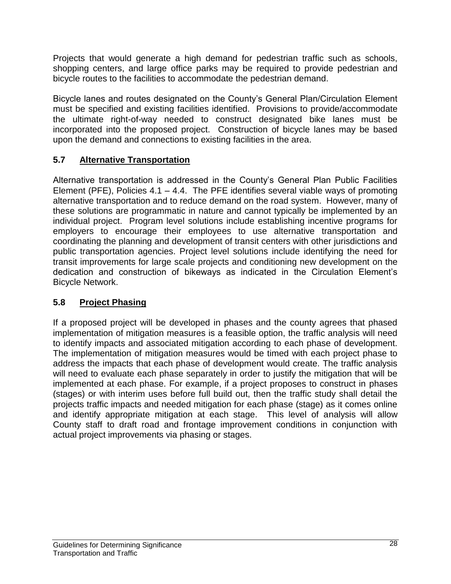Projects that would generate a high demand for pedestrian traffic such as schools, shopping centers, and large office parks may be required to provide pedestrian and bicycle routes to the facilities to accommodate the pedestrian demand.

Bicycle lanes and routes designated on the County's General Plan/Circulation Element must be specified and existing facilities identified. Provisions to provide/accommodate the ultimate right-of-way needed to construct designated bike lanes must be incorporated into the proposed project. Construction of bicycle lanes may be based upon the demand and connections to existing facilities in the area.

# **5.7 Alternative Transportation**

Alternative transportation is addressed in the County's General Plan Public Facilities Element (PFE), Policies 4.1 – 4.4. The PFE identifies several viable ways of promoting alternative transportation and to reduce demand on the road system. However, many of these solutions are programmatic in nature and cannot typically be implemented by an individual project. Program level solutions include establishing incentive programs for employers to encourage their employees to use alternative transportation and coordinating the planning and development of transit centers with other jurisdictions and public transportation agencies. Project level solutions include identifying the need for transit improvements for large scale projects and conditioning new development on the dedication and construction of bikeways as indicated in the Circulation Element's Bicycle Network.

# **5.8 Project Phasing**

If a proposed project will be developed in phases and the county agrees that phased implementation of mitigation measures is a feasible option, the traffic analysis will need to identify impacts and associated mitigation according to each phase of development. The implementation of mitigation measures would be timed with each project phase to address the impacts that each phase of development would create. The traffic analysis will need to evaluate each phase separately in order to justify the mitigation that will be implemented at each phase. For example, if a project proposes to construct in phases (stages) or with interim uses before full build out, then the traffic study shall detail the projects traffic impacts and needed mitigation for each phase (stage) as it comes online and identify appropriate mitigation at each stage. This level of analysis will allow County staff to draft road and frontage improvement conditions in conjunction with actual project improvements via phasing or stages.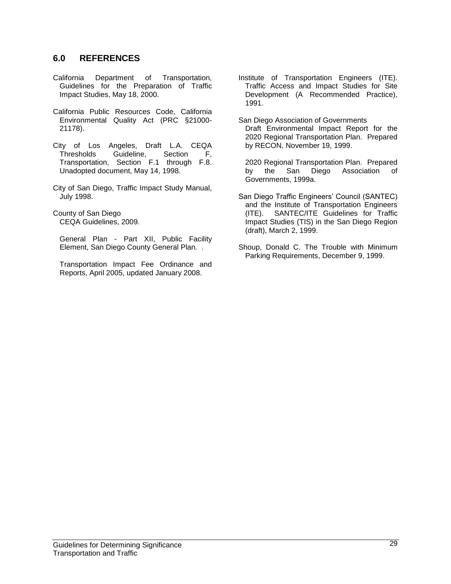#### **6.0 REFERENCES**

- California Department of Transportation, Guidelines for the Preparation of Traffic Impact Studies, May 18, 2000.
- California Public Resources Code, California Environmental Quality Act (PRC §21000- 21178).
- City of Los Angeles, Draft L.A. CEQA Thresholds Guideline, Section F, Transportation, Section F.1 through F.8. Unadopted document, May 14, 1998.
- City of San Diego, Traffic Impact Study Manual, July 1998.
- County of San Diego CEQA Guidelines, 2009.
	- General Plan Part XII, Public Facility Element, San Diego County General Plan. .
	- Transportation Impact Fee Ordinance and Reports, April 2005, updated January 2008.
- Institute of Transportation Engineers (ITE). Traffic Access and Impact Studies for Site Development (A Recommended Practice), 1991.
- San Diego Association of Governments Draft Environmental Impact Report for the 2020 Regional Transportation Plan. Prepared by RECON, November 19, 1999.
	- 2020 Regional Transportation Plan. Prepared by the San Diego Association of Governments, 1999a.
- San Diego Traffic Engineers' Council (SANTEC) and the Institute of Transportation Engineers (ITE). SANTEC/ITE Guidelines for Traffic Impact Studies (TIS) in the San Diego Region (draft), March 2, 1999.
- Shoup, Donald C. The Trouble with Minimum Parking Requirements, December 9, 1999.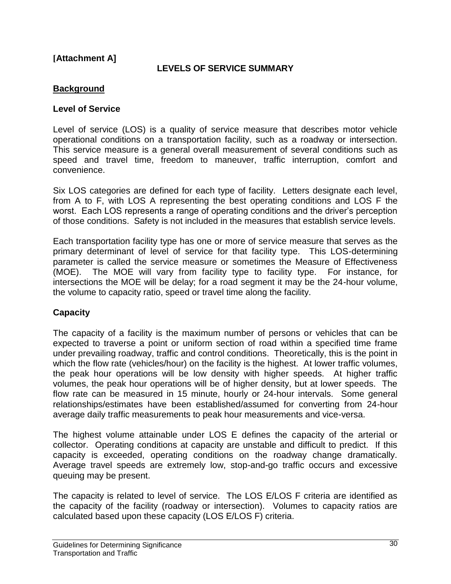#### **[Attachment A]**

#### **LEVELS OF SERVICE SUMMARY**

#### **Background**

#### **Level of Service**

Level of service (LOS) is a quality of service measure that describes motor vehicle operational conditions on a transportation facility, such as a roadway or intersection. This service measure is a general overall measurement of several conditions such as speed and travel time, freedom to maneuver, traffic interruption, comfort and convenience.

Six LOS categories are defined for each type of facility. Letters designate each level, from A to F, with LOS A representing the best operating conditions and LOS F the worst. Each LOS represents a range of operating conditions and the driver's perception of those conditions. Safety is not included in the measures that establish service levels.

Each transportation facility type has one or more of service measure that serves as the primary determinant of level of service for that facility type. This LOS-determining parameter is called the service measure or sometimes the Measure of Effectiveness (MOE). The MOE will vary from facility type to facility type. For instance, for intersections the MOE will be delay; for a road segment it may be the 24-hour volume, the volume to capacity ratio, speed or travel time along the facility.

#### **Capacity**

The capacity of a facility is the maximum number of persons or vehicles that can be expected to traverse a point or uniform section of road within a specified time frame under prevailing roadway, traffic and control conditions. Theoretically, this is the point in which the flow rate (vehicles/hour) on the facility is the highest. At lower traffic volumes, the peak hour operations will be low density with higher speeds. At higher traffic volumes, the peak hour operations will be of higher density, but at lower speeds. The flow rate can be measured in 15 minute, hourly or 24-hour intervals. Some general relationships/estimates have been established/assumed for converting from 24-hour average daily traffic measurements to peak hour measurements and vice-versa.

The highest volume attainable under LOS E defines the capacity of the arterial or collector. Operating conditions at capacity are unstable and difficult to predict. If this capacity is exceeded, operating conditions on the roadway change dramatically. Average travel speeds are extremely low, stop-and-go traffic occurs and excessive queuing may be present.

The capacity is related to level of service. The LOS E/LOS F criteria are identified as the capacity of the facility (roadway or intersection). Volumes to capacity ratios are calculated based upon these capacity (LOS E/LOS F) criteria.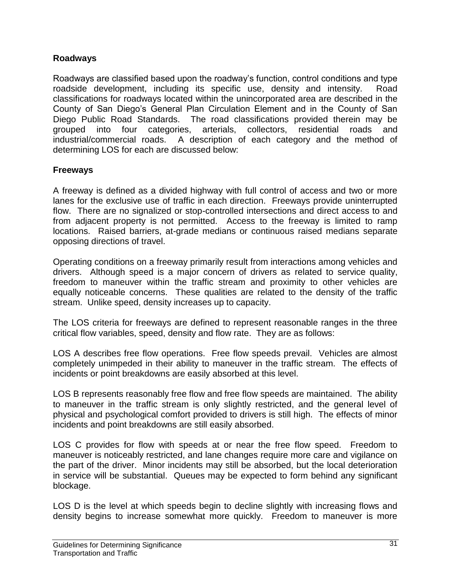#### **Roadways**

Roadways are classified based upon the roadway's function, control conditions and type roadside development, including its specific use, density and intensity. Road classifications for roadways located within the unincorporated area are described in the County of San Diego's General Plan Circulation Element and in the County of San Diego Public Road Standards. The road classifications provided therein may be grouped into four categories, arterials, collectors, residential roads and industrial/commercial roads. A description of each category and the method of determining LOS for each are discussed below:

## **Freeways**

A freeway is defined as a divided highway with full control of access and two or more lanes for the exclusive use of traffic in each direction. Freeways provide uninterrupted flow. There are no signalized or stop-controlled intersections and direct access to and from adjacent property is not permitted. Access to the freeway is limited to ramp locations. Raised barriers, at-grade medians or continuous raised medians separate opposing directions of travel.

Operating conditions on a freeway primarily result from interactions among vehicles and drivers. Although speed is a major concern of drivers as related to service quality, freedom to maneuver within the traffic stream and proximity to other vehicles are equally noticeable concerns. These qualities are related to the density of the traffic stream. Unlike speed, density increases up to capacity.

The LOS criteria for freeways are defined to represent reasonable ranges in the three critical flow variables, speed, density and flow rate. They are as follows:

LOS A describes free flow operations. Free flow speeds prevail. Vehicles are almost completely unimpeded in their ability to maneuver in the traffic stream. The effects of incidents or point breakdowns are easily absorbed at this level.

LOS B represents reasonably free flow and free flow speeds are maintained. The ability to maneuver in the traffic stream is only slightly restricted, and the general level of physical and psychological comfort provided to drivers is still high. The effects of minor incidents and point breakdowns are still easily absorbed.

LOS C provides for flow with speeds at or near the free flow speed. Freedom to maneuver is noticeably restricted, and lane changes require more care and vigilance on the part of the driver. Minor incidents may still be absorbed, but the local deterioration in service will be substantial. Queues may be expected to form behind any significant blockage.

LOS D is the level at which speeds begin to decline slightly with increasing flows and density begins to increase somewhat more quickly. Freedom to maneuver is more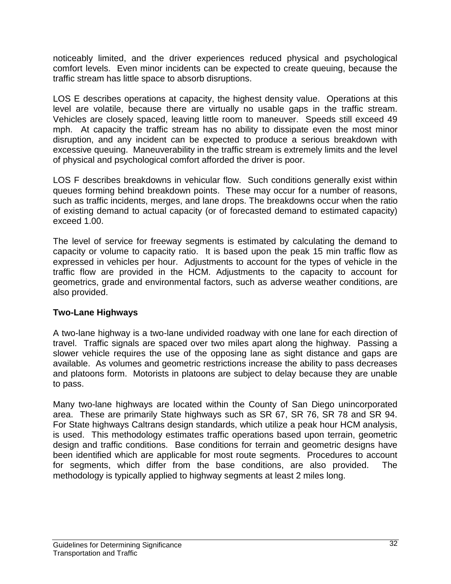noticeably limited, and the driver experiences reduced physical and psychological comfort levels. Even minor incidents can be expected to create queuing, because the traffic stream has little space to absorb disruptions.

LOS E describes operations at capacity, the highest density value. Operations at this level are volatile, because there are virtually no usable gaps in the traffic stream. Vehicles are closely spaced, leaving little room to maneuver. Speeds still exceed 49 mph. At capacity the traffic stream has no ability to dissipate even the most minor disruption, and any incident can be expected to produce a serious breakdown with excessive queuing. Maneuverability in the traffic stream is extremely limits and the level of physical and psychological comfort afforded the driver is poor.

LOS F describes breakdowns in vehicular flow. Such conditions generally exist within queues forming behind breakdown points. These may occur for a number of reasons, such as traffic incidents, merges, and lane drops. The breakdowns occur when the ratio of existing demand to actual capacity (or of forecasted demand to estimated capacity) exceed 1.00.

The level of service for freeway segments is estimated by calculating the demand to capacity or volume to capacity ratio. It is based upon the peak 15 min traffic flow as expressed in vehicles per hour. Adjustments to account for the types of vehicle in the traffic flow are provided in the HCM. Adjustments to the capacity to account for geometrics, grade and environmental factors, such as adverse weather conditions, are also provided.

## **Two-Lane Highways**

A two-lane highway is a two-lane undivided roadway with one lane for each direction of travel. Traffic signals are spaced over two miles apart along the highway. Passing a slower vehicle requires the use of the opposing lane as sight distance and gaps are available. As volumes and geometric restrictions increase the ability to pass decreases and platoons form. Motorists in platoons are subject to delay because they are unable to pass.

Many two-lane highways are located within the County of San Diego unincorporated area. These are primarily State highways such as SR 67, SR 76, SR 78 and SR 94. For State highways Caltrans design standards, which utilize a peak hour HCM analysis, is used. This methodology estimates traffic operations based upon terrain, geometric design and traffic conditions. Base conditions for terrain and geometric designs have been identified which are applicable for most route segments. Procedures to account for segments, which differ from the base conditions, are also provided. The methodology is typically applied to highway segments at least 2 miles long.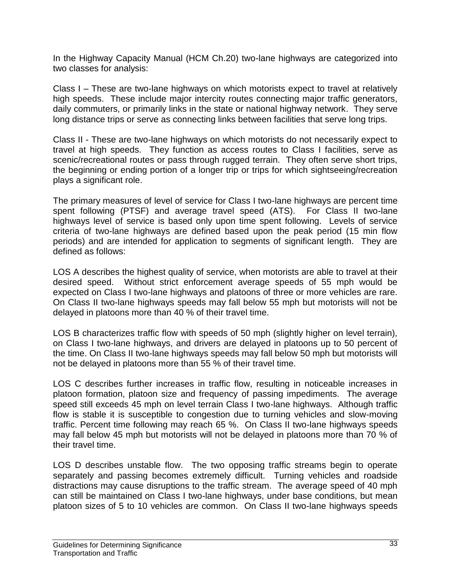In the Highway Capacity Manual (HCM Ch.20) two-lane highways are categorized into two classes for analysis:

Class I – These are two-lane highways on which motorists expect to travel at relatively high speeds. These include major intercity routes connecting major traffic generators, daily commuters, or primarily links in the state or national highway network. They serve long distance trips or serve as connecting links between facilities that serve long trips.

Class II - These are two-lane highways on which motorists do not necessarily expect to travel at high speeds. They function as access routes to Class I facilities, serve as scenic/recreational routes or pass through rugged terrain. They often serve short trips, the beginning or ending portion of a longer trip or trips for which sightseeing/recreation plays a significant role.

The primary measures of level of service for Class I two-lane highways are percent time spent following (PTSF) and average travel speed (ATS). For Class II two-lane highways level of service is based only upon time spent following. Levels of service criteria of two-lane highways are defined based upon the peak period (15 min flow periods) and are intended for application to segments of significant length. They are defined as follows:

LOS A describes the highest quality of service, when motorists are able to travel at their desired speed. Without strict enforcement average speeds of 55 mph would be expected on Class I two-lane highways and platoons of three or more vehicles are rare. On Class II two-lane highways speeds may fall below 55 mph but motorists will not be delayed in platoons more than 40 % of their travel time.

LOS B characterizes traffic flow with speeds of 50 mph (slightly higher on level terrain), on Class I two-lane highways, and drivers are delayed in platoons up to 50 percent of the time. On Class II two-lane highways speeds may fall below 50 mph but motorists will not be delayed in platoons more than 55 % of their travel time.

LOS C describes further increases in traffic flow, resulting in noticeable increases in platoon formation, platoon size and frequency of passing impediments. The average speed still exceeds 45 mph on level terrain Class I two-lane highways. Although traffic flow is stable it is susceptible to congestion due to turning vehicles and slow-moving traffic. Percent time following may reach 65 %. On Class II two-lane highways speeds may fall below 45 mph but motorists will not be delayed in platoons more than 70 % of their travel time.

LOS D describes unstable flow. The two opposing traffic streams begin to operate separately and passing becomes extremely difficult. Turning vehicles and roadside distractions may cause disruptions to the traffic stream. The average speed of 40 mph can still be maintained on Class I two-lane highways, under base conditions, but mean platoon sizes of 5 to 10 vehicles are common. On Class II two-lane highways speeds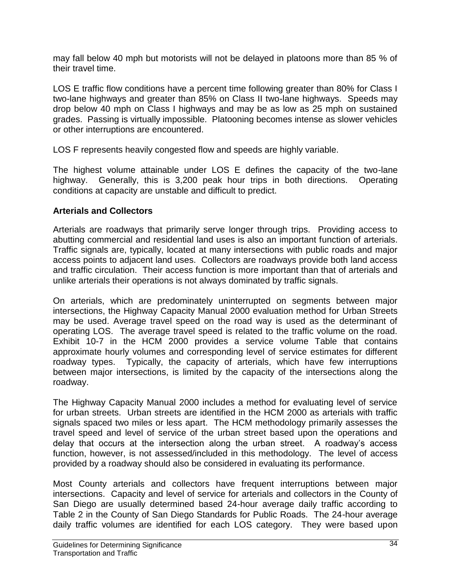may fall below 40 mph but motorists will not be delayed in platoons more than 85 % of their travel time.

LOS E traffic flow conditions have a percent time following greater than 80% for Class I two-lane highways and greater than 85% on Class II two-lane highways. Speeds may drop below 40 mph on Class I highways and may be as low as 25 mph on sustained grades. Passing is virtually impossible. Platooning becomes intense as slower vehicles or other interruptions are encountered.

LOS F represents heavily congested flow and speeds are highly variable.

The highest volume attainable under LOS E defines the capacity of the two-lane highway. Generally, this is 3,200 peak hour trips in both directions. Operating conditions at capacity are unstable and difficult to predict.

## **Arterials and Collectors**

Arterials are roadways that primarily serve longer through trips. Providing access to abutting commercial and residential land uses is also an important function of arterials. Traffic signals are, typically, located at many intersections with public roads and major access points to adjacent land uses. Collectors are roadways provide both land access and traffic circulation. Their access function is more important than that of arterials and unlike arterials their operations is not always dominated by traffic signals.

On arterials, which are predominately uninterrupted on segments between major intersections, the Highway Capacity Manual 2000 evaluation method for Urban Streets may be used. Average travel speed on the road way is used as the determinant of operating LOS. The average travel speed is related to the traffic volume on the road. Exhibit 10-7 in the HCM 2000 provides a service volume Table that contains approximate hourly volumes and corresponding level of service estimates for different roadway types. Typically, the capacity of arterials, which have few interruptions between major intersections, is limited by the capacity of the intersections along the roadway.

The Highway Capacity Manual 2000 includes a method for evaluating level of service for urban streets. Urban streets are identified in the HCM 2000 as arterials with traffic signals spaced two miles or less apart. The HCM methodology primarily assesses the travel speed and level of service of the urban street based upon the operations and delay that occurs at the intersection along the urban street. A roadway's access function, however, is not assessed/included in this methodology. The level of access provided by a roadway should also be considered in evaluating its performance.

Most County arterials and collectors have frequent interruptions between major intersections. Capacity and level of service for arterials and collectors in the County of San Diego are usually determined based 24-hour average daily traffic according to Table 2 in the County of San Diego Standards for Public Roads. The 24-hour average daily traffic volumes are identified for each LOS category. They were based upon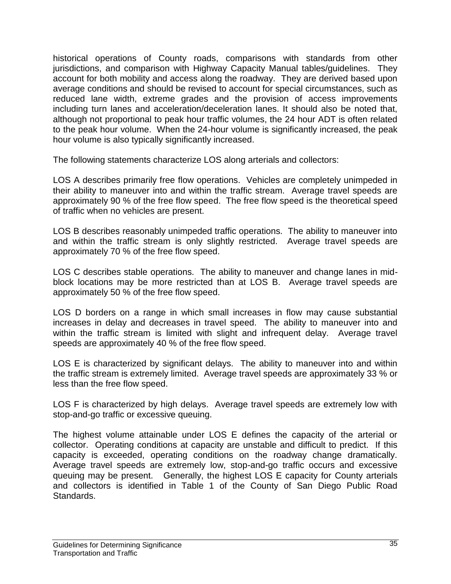historical operations of County roads, comparisons with standards from other jurisdictions, and comparison with Highway Capacity Manual tables/guidelines. They account for both mobility and access along the roadway. They are derived based upon average conditions and should be revised to account for special circumstances, such as reduced lane width, extreme grades and the provision of access improvements including turn lanes and acceleration/deceleration lanes. It should also be noted that, although not proportional to peak hour traffic volumes, the 24 hour ADT is often related to the peak hour volume. When the 24-hour volume is significantly increased, the peak hour volume is also typically significantly increased.

The following statements characterize LOS along arterials and collectors:

LOS A describes primarily free flow operations. Vehicles are completely unimpeded in their ability to maneuver into and within the traffic stream. Average travel speeds are approximately 90 % of the free flow speed. The free flow speed is the theoretical speed of traffic when no vehicles are present.

LOS B describes reasonably unimpeded traffic operations. The ability to maneuver into and within the traffic stream is only slightly restricted. Average travel speeds are approximately 70 % of the free flow speed.

LOS C describes stable operations. The ability to maneuver and change lanes in midblock locations may be more restricted than at LOS B. Average travel speeds are approximately 50 % of the free flow speed.

LOS D borders on a range in which small increases in flow may cause substantial increases in delay and decreases in travel speed. The ability to maneuver into and within the traffic stream is limited with slight and infrequent delay. Average travel speeds are approximately 40 % of the free flow speed.

LOS E is characterized by significant delays. The ability to maneuver into and within the traffic stream is extremely limited. Average travel speeds are approximately 33 % or less than the free flow speed.

LOS F is characterized by high delays. Average travel speeds are extremely low with stop-and-go traffic or excessive queuing.

The highest volume attainable under LOS E defines the capacity of the arterial or collector. Operating conditions at capacity are unstable and difficult to predict. If this capacity is exceeded, operating conditions on the roadway change dramatically. Average travel speeds are extremely low, stop-and-go traffic occurs and excessive queuing may be present. Generally, the highest LOS E capacity for County arterials and collectors is identified in Table 1 of the County of San Diego Public Road Standards.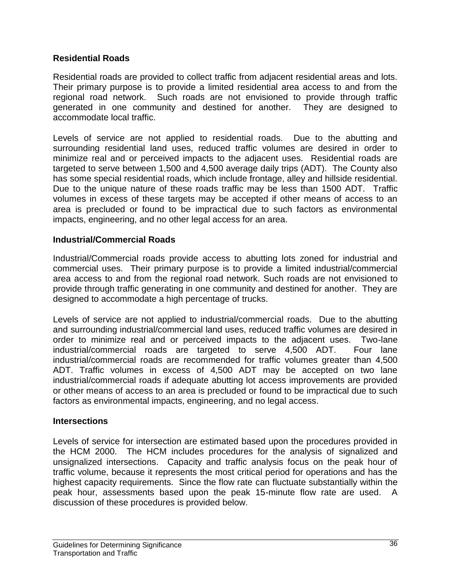#### **Residential Roads**

Residential roads are provided to collect traffic from adjacent residential areas and lots. Their primary purpose is to provide a limited residential area access to and from the regional road network. Such roads are not envisioned to provide through traffic generated in one community and destined for another. They are designed to accommodate local traffic.

Levels of service are not applied to residential roads. Due to the abutting and surrounding residential land uses, reduced traffic volumes are desired in order to minimize real and or perceived impacts to the adjacent uses. Residential roads are targeted to serve between 1,500 and 4,500 average daily trips (ADT). The County also has some special residential roads, which include frontage, alley and hillside residential. Due to the unique nature of these roads traffic may be less than 1500 ADT. Traffic volumes in excess of these targets may be accepted if other means of access to an area is precluded or found to be impractical due to such factors as environmental impacts, engineering, and no other legal access for an area.

#### **Industrial/Commercial Roads**

Industrial/Commercial roads provide access to abutting lots zoned for industrial and commercial uses. Their primary purpose is to provide a limited industrial/commercial area access to and from the regional road network. Such roads are not envisioned to provide through traffic generating in one community and destined for another. They are designed to accommodate a high percentage of trucks.

Levels of service are not applied to industrial/commercial roads. Due to the abutting and surrounding industrial/commercial land uses, reduced traffic volumes are desired in order to minimize real and or perceived impacts to the adjacent uses. Two-lane industrial/commercial roads are targeted to serve 4,500 ADT. Four lane industrial/commercial roads are recommended for traffic volumes greater than 4,500 ADT. Traffic volumes in excess of 4,500 ADT may be accepted on two lane industrial/commercial roads if adequate abutting lot access improvements are provided or other means of access to an area is precluded or found to be impractical due to such factors as environmental impacts, engineering, and no legal access.

#### **Intersections**

Levels of service for intersection are estimated based upon the procedures provided in the HCM 2000. The HCM includes procedures for the analysis of signalized and unsignalized intersections. Capacity and traffic analysis focus on the peak hour of traffic volume, because it represents the most critical period for operations and has the highest capacity requirements. Since the flow rate can fluctuate substantially within the peak hour, assessments based upon the peak 15-minute flow rate are used. A discussion of these procedures is provided below.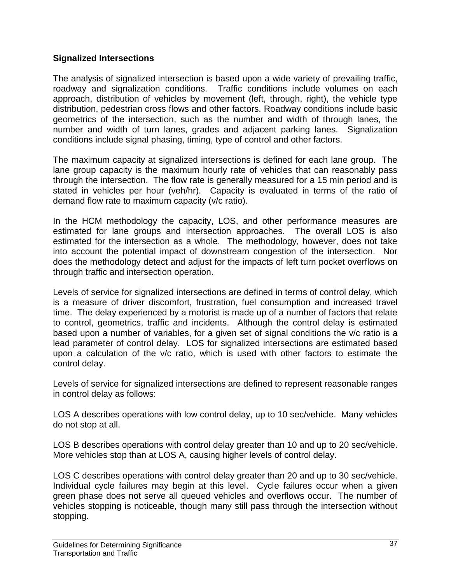#### **Signalized Intersections**

The analysis of signalized intersection is based upon a wide variety of prevailing traffic, roadway and signalization conditions. Traffic conditions include volumes on each approach, distribution of vehicles by movement (left, through, right), the vehicle type distribution, pedestrian cross flows and other factors. Roadway conditions include basic geometrics of the intersection, such as the number and width of through lanes, the number and width of turn lanes, grades and adjacent parking lanes. Signalization conditions include signal phasing, timing, type of control and other factors.

The maximum capacity at signalized intersections is defined for each lane group. The lane group capacity is the maximum hourly rate of vehicles that can reasonably pass through the intersection. The flow rate is generally measured for a 15 min period and is stated in vehicles per hour (veh/hr). Capacity is evaluated in terms of the ratio of demand flow rate to maximum capacity (v/c ratio).

In the HCM methodology the capacity, LOS, and other performance measures are estimated for lane groups and intersection approaches. The overall LOS is also estimated for the intersection as a whole. The methodology, however, does not take into account the potential impact of downstream congestion of the intersection. Nor does the methodology detect and adjust for the impacts of left turn pocket overflows on through traffic and intersection operation.

Levels of service for signalized intersections are defined in terms of control delay, which is a measure of driver discomfort, frustration, fuel consumption and increased travel time. The delay experienced by a motorist is made up of a number of factors that relate to control, geometrics, traffic and incidents. Although the control delay is estimated based upon a number of variables, for a given set of signal conditions the v/c ratio is a lead parameter of control delay. LOS for signalized intersections are estimated based upon a calculation of the v/c ratio, which is used with other factors to estimate the control delay.

Levels of service for signalized intersections are defined to represent reasonable ranges in control delay as follows:

LOS A describes operations with low control delay, up to 10 sec/vehicle. Many vehicles do not stop at all.

LOS B describes operations with control delay greater than 10 and up to 20 sec/vehicle. More vehicles stop than at LOS A, causing higher levels of control delay.

LOS C describes operations with control delay greater than 20 and up to 30 sec/vehicle. Individual cycle failures may begin at this level. Cycle failures occur when a given green phase does not serve all queued vehicles and overflows occur. The number of vehicles stopping is noticeable, though many still pass through the intersection without stopping.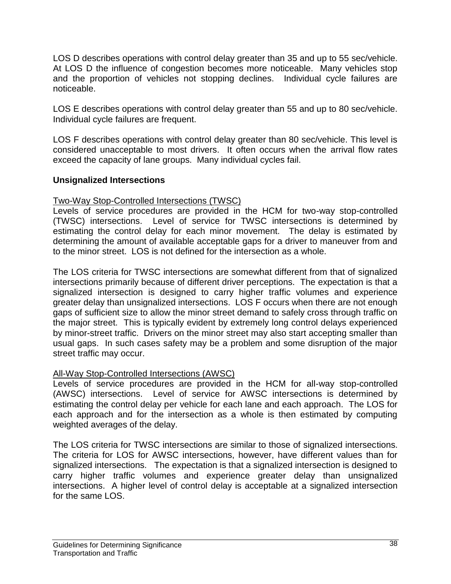LOS D describes operations with control delay greater than 35 and up to 55 sec/vehicle. At LOS D the influence of congestion becomes more noticeable. Many vehicles stop and the proportion of vehicles not stopping declines. Individual cycle failures are noticeable.

LOS E describes operations with control delay greater than 55 and up to 80 sec/vehicle. Individual cycle failures are frequent.

LOS F describes operations with control delay greater than 80 sec/vehicle. This level is considered unacceptable to most drivers. It often occurs when the arrival flow rates exceed the capacity of lane groups. Many individual cycles fail.

#### **Unsignalized Intersections**

#### Two-Way Stop-Controlled Intersections (TWSC)

Levels of service procedures are provided in the HCM for two-way stop-controlled (TWSC) intersections. Level of service for TWSC intersections is determined by estimating the control delay for each minor movement. The delay is estimated by determining the amount of available acceptable gaps for a driver to maneuver from and to the minor street. LOS is not defined for the intersection as a whole.

The LOS criteria for TWSC intersections are somewhat different from that of signalized intersections primarily because of different driver perceptions. The expectation is that a signalized intersection is designed to carry higher traffic volumes and experience greater delay than unsignalized intersections. LOS F occurs when there are not enough gaps of sufficient size to allow the minor street demand to safely cross through traffic on the major street. This is typically evident by extremely long control delays experienced by minor-street traffic. Drivers on the minor street may also start accepting smaller than usual gaps. In such cases safety may be a problem and some disruption of the major street traffic may occur.

## All-Way Stop-Controlled Intersections (AWSC)

Levels of service procedures are provided in the HCM for all-way stop-controlled (AWSC) intersections. Level of service for AWSC intersections is determined by estimating the control delay per vehicle for each lane and each approach. The LOS for each approach and for the intersection as a whole is then estimated by computing weighted averages of the delay.

The LOS criteria for TWSC intersections are similar to those of signalized intersections. The criteria for LOS for AWSC intersections, however, have different values than for signalized intersections. The expectation is that a signalized intersection is designed to carry higher traffic volumes and experience greater delay than unsignalized intersections. A higher level of control delay is acceptable at a signalized intersection for the same LOS.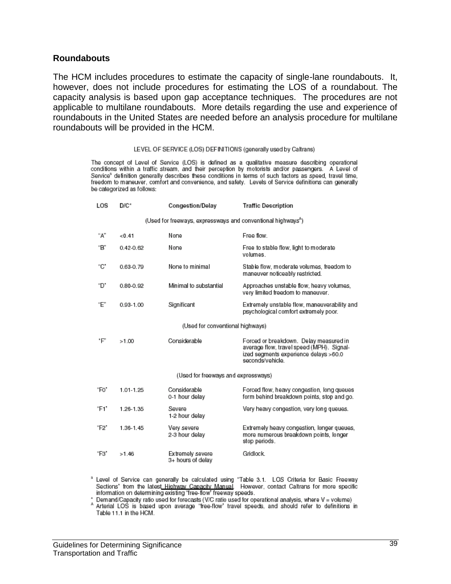#### **Roundabouts**

The HCM includes procedures to estimate the capacity of single-lane roundabouts. It, however, does not include procedures for estimating the LOS of a roundabout. The capacity analysis is based upon gap acceptance techniques. The procedures are not applicable to multilane roundabouts. More details regarding the use and experience of roundabouts in the United States are needed before an analysis procedure for multilane roundabouts will be provided in the HCM.

#### LEVEL OF SERVICE (LOS) DEFINITIONS (generally used by Caltrans)

The concept of Level of Service (LOS) is defined as a qualitative measure describing operational conditions within a traffic stream, and their perception by motorists and/or passengers. A Level of Service<sup>s</sup> definition generally describes these conditions in terms of such factors as speed, travel time, freedom to maneuver, comfort and convenience, and safety. Levels of Service definitions can generally be categorized as follows:

| LOS  | D/C*<br><b>Congestion/Delay</b>                                          |                                       | <b>Traffic Description</b>                                                                                                                       |  |  |  |  |
|------|--------------------------------------------------------------------------|---------------------------------------|--------------------------------------------------------------------------------------------------------------------------------------------------|--|--|--|--|
|      | (Used for freeways, expressways and conventional highways <sup>*</sup> ) |                                       |                                                                                                                                                  |  |  |  |  |
| "A"  | < 0.41                                                                   | None                                  | Free flow.                                                                                                                                       |  |  |  |  |
| "B"  | $0.42 - 0.62$                                                            | None                                  | Free to stable flow, light to moderate<br>volumes.                                                                                               |  |  |  |  |
| "С"  | 0.63-0.79                                                                | None to minimal                       | Stable flow, moderate volumes, freedom to<br>maneuver noticeably restricted.                                                                     |  |  |  |  |
| "D"  | 0.80-0.92                                                                | Minimal to substantial                | Approaches unstable flow, heavy volumes,<br>very limited freedom to maneuver.                                                                    |  |  |  |  |
| "F"  | 0.93-1.00                                                                | Significant                           | Extremely unstable flow, maneuverability and<br>psychological comfort extremely poor.                                                            |  |  |  |  |
|      |                                                                          | (Used for conventional highways)      |                                                                                                                                                  |  |  |  |  |
| 'Ε'  | >1.00                                                                    | Considerable                          | Forced or breakdown. Delay measured in<br>average flow, travel speed (MPH). Signal-<br>ized segments experience delays >60.0<br>seconds/vehicle. |  |  |  |  |
|      |                                                                          | (Used for freeways and expressways)   |                                                                                                                                                  |  |  |  |  |
| "Fo" | 1.01-1.25                                                                | Considerable<br>0-1 hour delay        | Forced flow, heavy congestion, long queues<br>form behind breakdown points, stop and go.                                                         |  |  |  |  |
| "F1" | 1.26-1.35                                                                | Severe<br>1-2 hour delay              | Very heavy congestion, very long queues.                                                                                                         |  |  |  |  |
| "F2" | 1.36-1.45                                                                | Very severe<br>2-3 hour delay         | Extremely heavy congestion, longer queues,<br>more numerous breakdown points, longer<br>stop periods.                                            |  |  |  |  |
| "F3" | >1.46                                                                    | Extremely severe<br>3+ hours of delay | Gridlock.                                                                                                                                        |  |  |  |  |

<sup>s</sup> Level of Service can generally be calculated using "Table 3.1. LOS Criteria for Basic Freeway<br>Sections' from the lates<u>t Highway Capacity Manual</u>. However, contact Caltrans for more specific<br>information on determining

Demand/Capacity ratio used for forecasts (V/C ratio used for operational analysis, where V = volume)

A terrial LOS is based upon average "free-flow" travel speeds, and should refer to definitions in Table 11.1 in the HCM.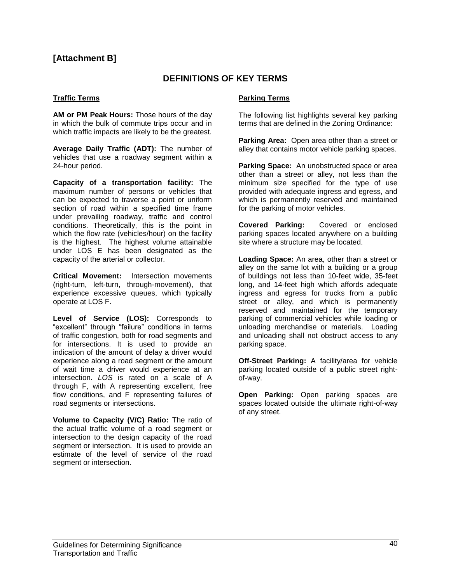#### **[Attachment B]**

#### **DEFINITIONS OF KEY TERMS**

#### **Traffic Terms**

**AM or PM Peak Hours:** Those hours of the day in which the bulk of commute trips occur and in which traffic impacts are likely to be the greatest.

**Average Daily Traffic (ADT):** The number of vehicles that use a roadway segment within a 24-hour period.

**Capacity of a transportation facility:** The maximum number of persons or vehicles that can be expected to traverse a point or uniform section of road within a specified time frame under prevailing roadway, traffic and control conditions. Theoretically, this is the point in which the flow rate (vehicles/hour) on the facility is the highest. The highest volume attainable under LOS E has been designated as the capacity of the arterial or collector.

**Critical Movement:** Intersection movements (right-turn, left-turn, through-movement), that experience excessive queues, which typically operate at LOS F.

**Level of Service (LOS):** Corresponds to "excellent" through "failure" conditions in terms of traffic congestion, both for road segments and for intersections. It is used to provide an indication of the amount of delay a driver would experience along a road segment or the amount of wait time a driver would experience at an intersection. *LOS* is rated on a scale of A through F, with A representing excellent, free flow conditions, and F representing failures of road segments or intersections.

**Volume to Capacity (V/C) Ratio:** The ratio of the actual traffic volume of a road segment or intersection to the design capacity of the road segment or intersection. It is used to provide an estimate of the level of service of the road segment or intersection.

#### **Parking Terms**

The following list highlights several key parking terms that are defined in the Zoning Ordinance:

**Parking Area:** Open area other than a street or alley that contains motor vehicle parking spaces.

**Parking Space:** An unobstructed space or area other than a street or alley, not less than the minimum size specified for the type of use provided with adequate ingress and egress, and which is permanently reserved and maintained for the parking of motor vehicles.

**Covered Parking:** Covered or enclosed parking spaces located anywhere on a building site where a structure may be located.

**Loading Space:** An area, other than a street or alley on the same lot with a building or a group of buildings not less than 10-feet wide, 35-feet long, and 14-feet high which affords adequate ingress and egress for trucks from a public street or alley, and which is permanently reserved and maintained for the temporary parking of commercial vehicles while loading or unloading merchandise or materials. Loading and unloading shall not obstruct access to any parking space.

**Off-Street Parking:** A facility/area for vehicle parking located outside of a public street rightof-way.

**Open Parking:** Open parking spaces are spaces located outside the ultimate right-of-way of any street.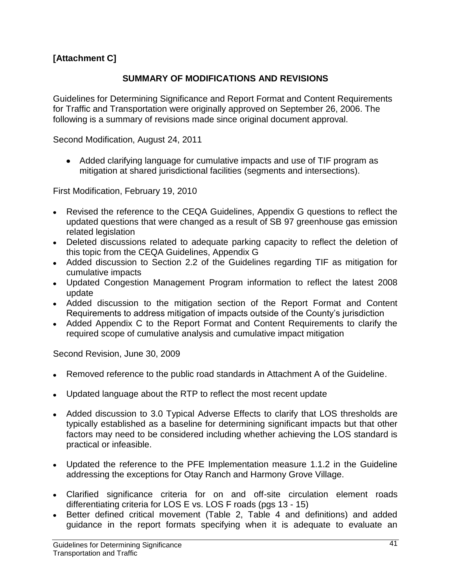# **[Attachment C]**

#### **SUMMARY OF MODIFICATIONS AND REVISIONS**

Guidelines for Determining Significance and Report Format and Content Requirements for Traffic and Transportation were originally approved on September 26, 2006. The following is a summary of revisions made since original document approval.

Second Modification, August 24, 2011

Added clarifying language for cumulative impacts and use of TIF program as mitigation at shared jurisdictional facilities (segments and intersections).

First Modification, February 19, 2010

- Revised the reference to the CEQA Guidelines, Appendix G questions to reflect the updated questions that were changed as a result of SB 97 greenhouse gas emission related legislation
- Deleted discussions related to adequate parking capacity to reflect the deletion of this topic from the CEQA Guidelines, Appendix G
- Added discussion to Section 2.2 of the Guidelines regarding TIF as mitigation for cumulative impacts
- Updated Congestion Management Program information to reflect the latest 2008 update
- Added discussion to the mitigation section of the Report Format and Content Requirements to address mitigation of impacts outside of the County's jurisdiction
- Added Appendix C to the Report Format and Content Requirements to clarify the required scope of cumulative analysis and cumulative impact mitigation

Second Revision, June 30, 2009

- Removed reference to the public road standards in Attachment A of the Guideline.
- Updated language about the RTP to reflect the most recent update
- Added discussion to 3.0 Typical Adverse Effects to clarify that LOS thresholds are typically established as a baseline for determining significant impacts but that other factors may need to be considered including whether achieving the LOS standard is practical or infeasible.
- Updated the reference to the PFE Implementation measure 1.1.2 in the Guideline addressing the exceptions for Otay Ranch and Harmony Grove Village.
- Clarified significance criteria for on and off-site circulation element roads differentiating criteria for LOS E vs. LOS F roads (pgs 13 - 15)
- Better defined critical movement (Table 2, Table 4 and definitions) and added guidance in the report formats specifying when it is adequate to evaluate an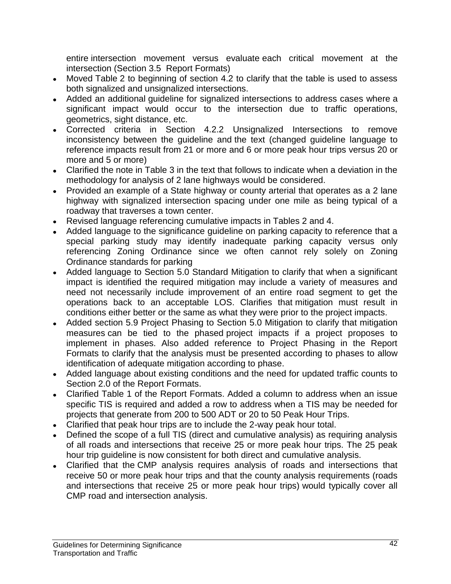entire intersection movement versus evaluate each critical movement at the intersection (Section 3.5 Report Formats)

- Moved Table 2 to beginning of section 4.2 to clarify that the table is used to assess both signalized and unsignalized intersections.
- Added an additional guideline for signalized intersections to address cases where a significant impact would occur to the intersection due to traffic operations, geometrics, sight distance, etc.
- Corrected criteria in Section 4.2.2 Unsignalized Intersections to remove inconsistency between the guideline and the text (changed guideline language to reference impacts result from 21 or more and 6 or more peak hour trips versus 20 or more and 5 or more)
- Clarified the note in Table 3 in the text that follows to indicate when a deviation in the methodology for analysis of 2 lane highways would be considered.
- Provided an example of a State highway or county arterial that operates as a 2 lane highway with signalized intersection spacing under one mile as being typical of a roadway that traverses a town center.
- Revised language referencing cumulative impacts in Tables 2 and 4.
- Added language to the significance guideline on parking capacity to reference that a special parking study may identify inadequate parking capacity versus only referencing Zoning Ordinance since we often cannot rely solely on Zoning Ordinance standards for parking
- Added language to Section 5.0 Standard Mitigation to clarify that when a significant impact is identified the required mitigation may include a variety of measures and need not necessarily include improvement of an entire road segment to get the operations back to an acceptable LOS. Clarifies that mitigation must result in conditions either better or the same as what they were prior to the project impacts.
- Added section 5.9 Project Phasing to Section 5.0 Mitigation to clarify that mitigation measures can be tied to the phased project impacts if a project proposes to implement in phases. Also added reference to Project Phasing in the Report Formats to clarify that the analysis must be presented according to phases to allow identification of adequate mitigation according to phase.
- Added language about existing conditions and the need for updated traffic counts to Section 2.0 of the Report Formats.
- Clarified Table 1 of the Report Formats. Added a column to address when an issue specific TIS is required and added a row to address when a TIS may be needed for projects that generate from 200 to 500 ADT or 20 to 50 Peak Hour Trips.
- Clarified that peak hour trips are to include the 2-way peak hour total.
- Defined the scope of a full TIS (direct and cumulative analysis) as requiring analysis of all roads and intersections that receive 25 or more peak hour trips. The 25 peak hour trip guideline is now consistent for both direct and cumulative analysis.
- Clarified that the CMP analysis requires analysis of roads and intersections that receive 50 or more peak hour trips and that the county analysis requirements (roads and intersections that receive 25 or more peak hour trips) would typically cover all CMP road and intersection analysis.